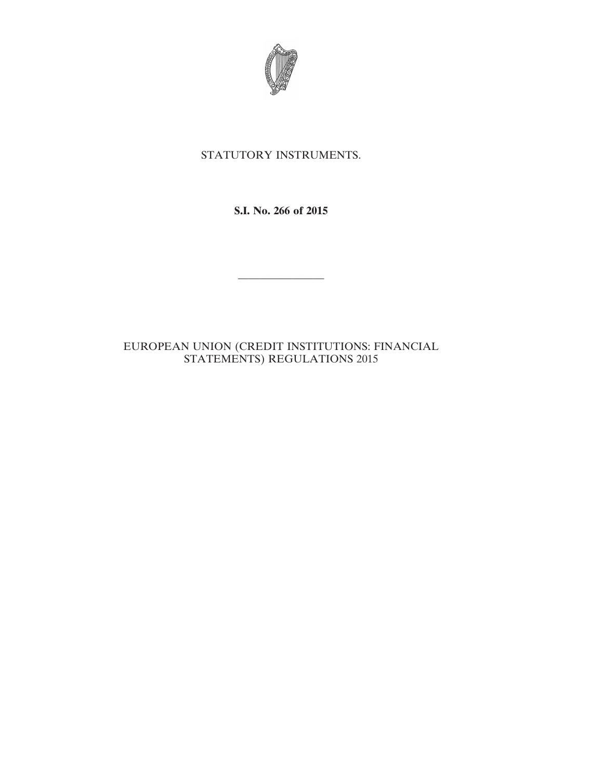

# STATUTORY INSTRUMENTS.

**S.I. No. 266 of 2015**

————————

# EUROPEAN UNION (CREDIT INSTITUTIONS: FINANCIAL STATEMENTS) REGULATIONS 2015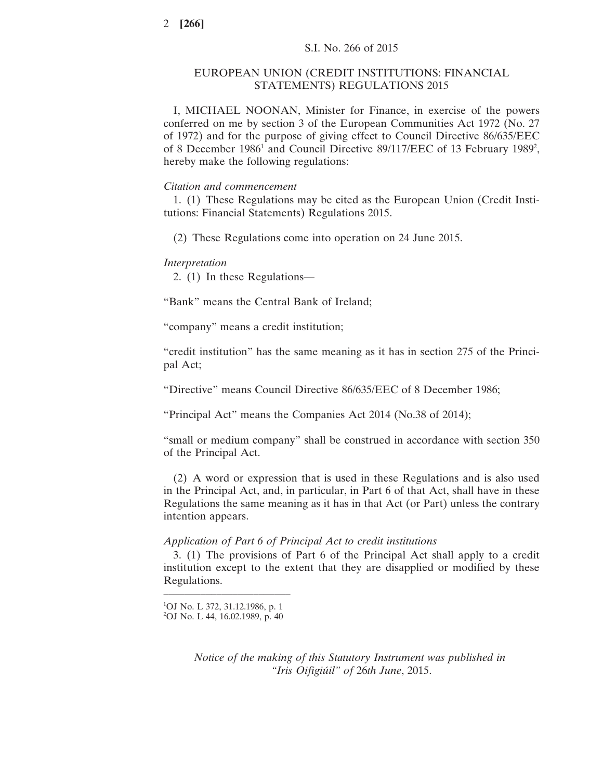## EUROPEAN UNION (CREDIT INSTITUTIONS: FINANCIAL STATEMENTS) REGULATIONS 2015

I, MICHAEL NOONAN, Minister for Finance, in exercise of the powers conferred on me by section 3 of the European Communities Act 1972 (No. 27 of 1972) and for the purpose of giving effect to Council Directive 86/635/EEC of 8 December 1986<sup>1</sup> and Council Directive 89/117/EEC of 13 February 1989<sup>2</sup>, hereby make the following regulations:

### *Citation and commencement*

1. (1) These Regulations may be cited as the European Union (Credit Institutions: Financial Statements) Regulations 2015.

(2) These Regulations come into operation on 24 June 2015.

### *Interpretation*

2. (1) In these Regulations—

"Bank" means the Central Bank of Ireland;

"company" means a credit institution;

"credit institution" has the same meaning as it has in section 275 of the Principal Act;

"Directive" means Council Directive 86/635/EEC of 8 December 1986;

"Principal Act" means the Companies Act 2014 (No.38 of 2014);

"small or medium company" shall be construed in accordance with section 350 of the Principal Act.

(2) A word or expression that is used in these Regulations and is also used in the Principal Act, and, in particular, in Part 6 of that Act, shall have in these Regulations the same meaning as it has in that Act (or Part) unless the contrary intention appears.

## *Application of Part 6 of Principal Act to credit institutions*

3. (1) The provisions of Part 6 of the Principal Act shall apply to a credit institution except to the extent that they are disapplied or modified by these Regulations.

*Notice of the making of this Statutory Instrument was published in "Iris Oifigiúil" of* 26*th June*, 2015.

 $\mathcal{L}=\{1,2,3,4\}$  , we can assume that the contract of  $\mathcal{L}=\{1,2,3,4\}$ 1 OJ No. L 372, 31.12.1986, p. 1 2 OJ No. L 44, 16.02.1989, p. 40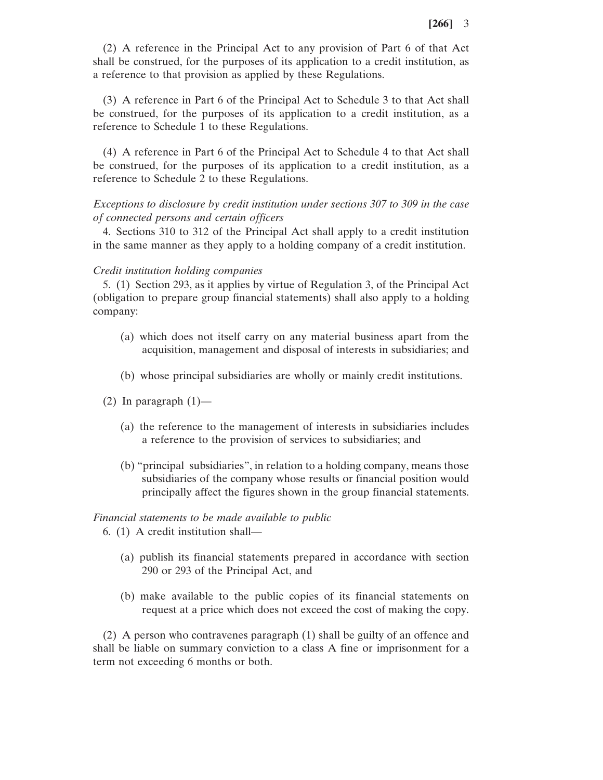(2) A reference in the Principal Act to any provision of Part 6 of that Act shall be construed, for the purposes of its application to a credit institution, as a reference to that provision as applied by these Regulations.

(3) A reference in Part 6 of the Principal Act to Schedule 3 to that Act shall be construed, for the purposes of its application to a credit institution, as a reference to Schedule 1 to these Regulations.

(4) A reference in Part 6 of the Principal Act to Schedule 4 to that Act shall be construed, for the purposes of its application to a credit institution, as a reference to Schedule 2 to these Regulations.

# *Exceptions to disclosure by credit institution under sections 307 to 309 in the case of connected persons and certain officers*

4. Sections 310 to 312 of the Principal Act shall apply to a credit institution in the same manner as they apply to a holding company of a credit institution.

## *Credit institution holding companies*

5. (1) Section 293, as it applies by virtue of Regulation 3, of the Principal Act (obligation to prepare group financial statements) shall also apply to a holding company:

- (a) which does not itself carry on any material business apart from the acquisition, management and disposal of interests in subsidiaries; and
- (b) whose principal subsidiaries are wholly or mainly credit institutions.
- (2) In paragraph  $(1)$ 
	- (a) the reference to the management of interests in subsidiaries includes a reference to the provision of services to subsidiaries; and
	- (b) "principal subsidiaries", in relation to a holding company, means those subsidiaries of the company whose results or financial position would principally affect the figures shown in the group financial statements.

## *Financial statements to be made available to public*

- 6. (1) A credit institution shall—
	- (a) publish its financial statements prepared in accordance with section 290 or 293 of the Principal Act, and
	- (b) make available to the public copies of its financial statements on request at a price which does not exceed the cost of making the copy.

(2) A person who contravenes paragraph (1) shall be guilty of an offence and shall be liable on summary conviction to a class A fine or imprisonment for a term not exceeding 6 months or both.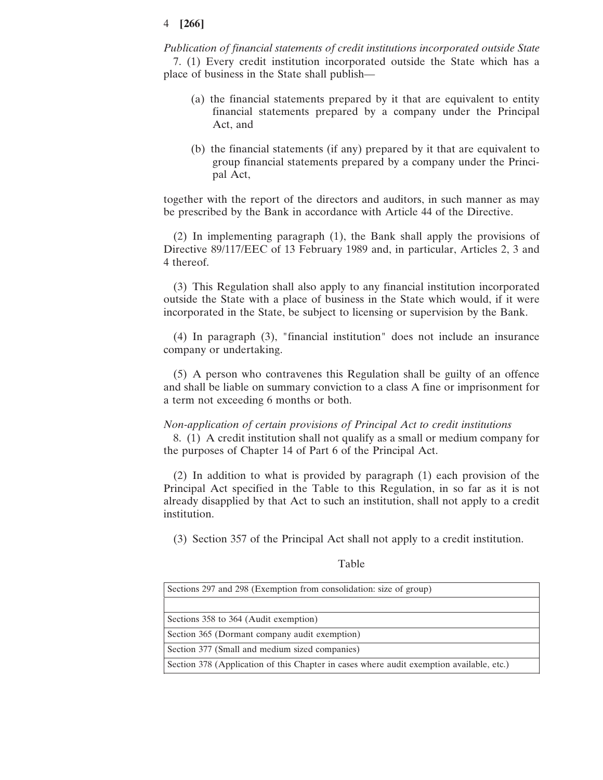*Publication of financial statements of credit institutions incorporated outside State* 7. (1) Every credit institution incorporated outside the State which has a place of business in the State shall publish—

- (a) the financial statements prepared by it that are equivalent to entity financial statements prepared by a company under the Principal Act, and
- (b) the financial statements (if any) prepared by it that are equivalent to group financial statements prepared by a company under the Principal Act,

together with the report of the directors and auditors, in such manner as may be prescribed by the Bank in accordance with Article 44 of the Directive.

(2) In implementing paragraph (1), the Bank shall apply the provisions of Directive 89/117/EEC of 13 February 1989 and, in particular, Articles 2, 3 and 4 thereof.

(3) This Regulation shall also apply to any financial institution incorporated outside the State with a place of business in the State which would, if it were incorporated in the State, be subject to licensing or supervision by the Bank.

(4) In paragraph (3), "financial institution" does not include an insurance company or undertaking.

(5) A person who contravenes this Regulation shall be guilty of an offence and shall be liable on summary conviction to a class A fine or imprisonment for a term not exceeding 6 months or both.

### *Non-application of certain provisions of Principal Act to credit institutions*

8. (1) A credit institution shall not qualify as a small or medium company for the purposes of Chapter 14 of Part 6 of the Principal Act.

(2) In addition to what is provided by paragraph (1) each provision of the Principal Act specified in the Table to this Regulation, in so far as it is not already disapplied by that Act to such an institution, shall not apply to a credit institution.

(3) Section 357 of the Principal Act shall not apply to a credit institution.

#### Table

| Sections 297 and 298 (Exemption from consolidation: size of group)                       |  |  |
|------------------------------------------------------------------------------------------|--|--|
|                                                                                          |  |  |
| Sections 358 to 364 (Audit exemption)                                                    |  |  |
| Section 365 (Dormant company audit exemption)                                            |  |  |
| Section 377 (Small and medium sized companies)                                           |  |  |
| Section 378 (Application of this Chapter in cases where audit exemption available, etc.) |  |  |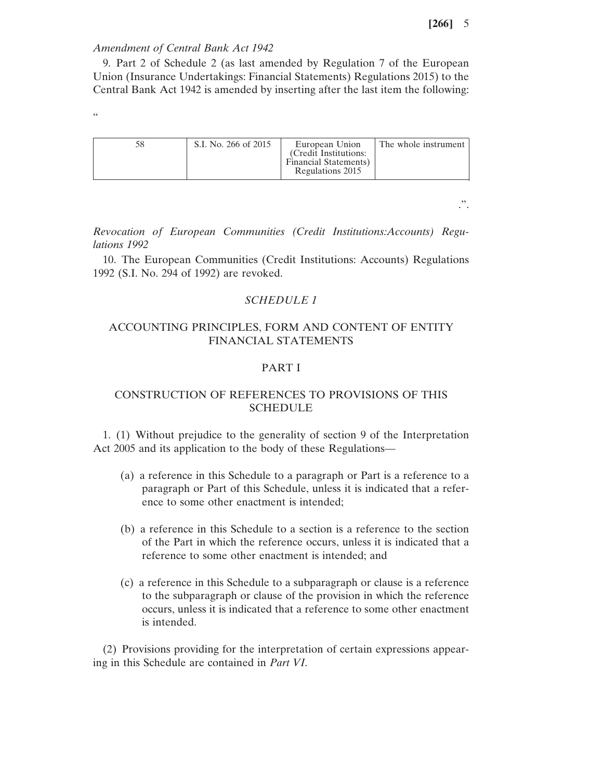### *Amendment of Central Bank Act 1942*

9. Part 2 of Schedule 2 (as last amended by Regulation 7 of the European Union (Insurance Undertakings: Financial Statements) Regulations 2015) to the Central Bank Act 1942 is amended by inserting after the last item the following:

.<br>44

| S.I. No. 266 of 2015 | European Union<br>(Credit Institutions:<br>Financial Statements)<br>Regulations 2015 | The whole instrument |
|----------------------|--------------------------------------------------------------------------------------|----------------------|
|----------------------|--------------------------------------------------------------------------------------|----------------------|

.".

*Revocation of European Communities (Credit Institutions:Accounts) Regulations 1992*

10. The European Communities (Credit Institutions: Accounts) Regulations 1992 (S.I. No. 294 of 1992) are revoked.

## *SCHEDULE 1*

# ACCOUNTING PRINCIPLES, FORM AND CONTENT OF ENTITY FINANCIAL STATEMENTS

# PART I

## CONSTRUCTION OF REFERENCES TO PROVISIONS OF THIS **SCHEDULE**

1. (1) Without prejudice to the generality of section 9 of the Interpretation Act 2005 and its application to the body of these Regulations—

- (a) a reference in this Schedule to a paragraph or Part is a reference to a paragraph or Part of this Schedule, unless it is indicated that a reference to some other enactment is intended;
- (b) a reference in this Schedule to a section is a reference to the section of the Part in which the reference occurs, unless it is indicated that a reference to some other enactment is intended; and
- (c) a reference in this Schedule to a subparagraph or clause is a reference to the subparagraph or clause of the provision in which the reference occurs, unless it is indicated that a reference to some other enactment is intended.

(2) Provisions providing for the interpretation of certain expressions appearing in this Schedule are contained in *Part VI*.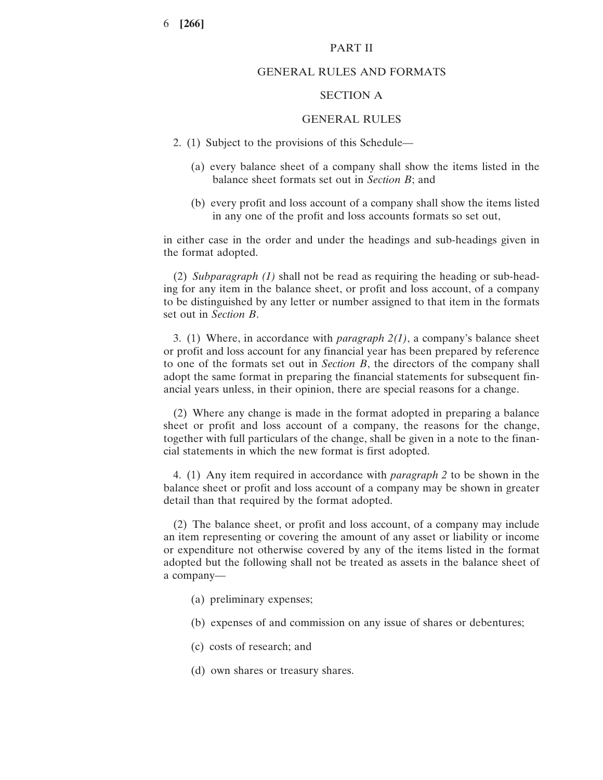## PART II

## GENERAL RULES AND FORMATS

### SECTION A

### GENERAL RULES

- 2. (1) Subject to the provisions of this Schedule—
	- (a) every balance sheet of a company shall show the items listed in the balance sheet formats set out in *Section B*; and
	- (b) every profit and loss account of a company shall show the items listed in any one of the profit and loss accounts formats so set out,

in either case in the order and under the headings and sub-headings given in the format adopted.

(2) *Subparagraph (1)* shall not be read as requiring the heading or sub-heading for any item in the balance sheet, or profit and loss account, of a company to be distinguished by any letter or number assigned to that item in the formats set out in *Section B*.

3. (1) Where, in accordance with *paragraph 2(1)*, a company's balance sheet or profit and loss account for any financial year has been prepared by reference to one of the formats set out in *Section B*, the directors of the company shall adopt the same format in preparing the financial statements for subsequent financial years unless, in their opinion, there are special reasons for a change.

(2) Where any change is made in the format adopted in preparing a balance sheet or profit and loss account of a company, the reasons for the change, together with full particulars of the change, shall be given in a note to the financial statements in which the new format is first adopted.

4. (1) Any item required in accordance with *paragraph 2* to be shown in the balance sheet or profit and loss account of a company may be shown in greater detail than that required by the format adopted.

(2) The balance sheet, or profit and loss account, of a company may include an item representing or covering the amount of any asset or liability or income or expenditure not otherwise covered by any of the items listed in the format adopted but the following shall not be treated as assets in the balance sheet of a company—

- (a) preliminary expenses;
- (b) expenses of and commission on any issue of shares or debentures;
- (c) costs of research; and
- (d) own shares or treasury shares.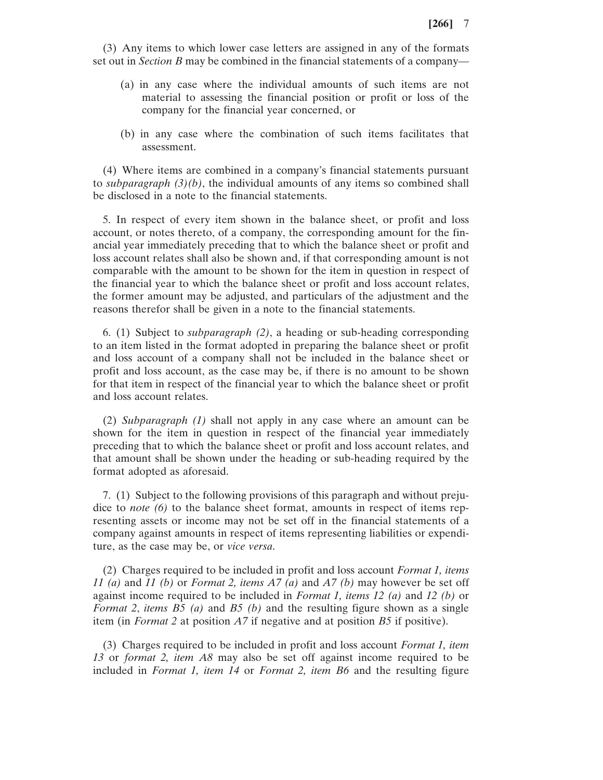(3) Any items to which lower case letters are assigned in any of the formats set out in *Section B* may be combined in the financial statements of a company—

- (a) in any case where the individual amounts of such items are not material to assessing the financial position or profit or loss of the company for the financial year concerned, or
- (b) in any case where the combination of such items facilitates that assessment.

(4) Where items are combined in a company's financial statements pursuant to *subparagraph (3)(b)*, the individual amounts of any items so combined shall be disclosed in a note to the financial statements.

5. In respect of every item shown in the balance sheet, or profit and loss account, or notes thereto, of a company, the corresponding amount for the financial year immediately preceding that to which the balance sheet or profit and loss account relates shall also be shown and, if that corresponding amount is not comparable with the amount to be shown for the item in question in respect of the financial year to which the balance sheet or profit and loss account relates, the former amount may be adjusted, and particulars of the adjustment and the reasons therefor shall be given in a note to the financial statements.

6. (1) Subject to *subparagraph (2)*, a heading or sub-heading corresponding to an item listed in the format adopted in preparing the balance sheet or profit and loss account of a company shall not be included in the balance sheet or profit and loss account, as the case may be, if there is no amount to be shown for that item in respect of the financial year to which the balance sheet or profit and loss account relates.

(2) *Subparagraph (1)* shall not apply in any case where an amount can be shown for the item in question in respect of the financial year immediately preceding that to which the balance sheet or profit and loss account relates, and that amount shall be shown under the heading or sub-heading required by the format adopted as aforesaid.

7. (1) Subject to the following provisions of this paragraph and without prejudice to *note (6)* to the balance sheet format, amounts in respect of items representing assets or income may not be set off in the financial statements of a company against amounts in respect of items representing liabilities or expenditure, as the case may be, or *vice versa*.

(2) Charges required to be included in profit and loss account *Format 1, items 11 (a)* and *11 (b)* or *Format 2, items A7 (a)* and *A7 (b)* may however be set off against income required to be included in *Format 1, items 12 (a)* and *12 (b)* or *Format 2*, *items B5 (a)* and *B5 (b)* and the resulting figure shown as a single item (in *Format 2* at position *A7* if negative and at position *B5* if positive).

(3) Charges required to be included in profit and loss account *Format 1, item 13* or *format 2, item A8* may also be set off against income required to be included in *Format 1, item 14* or *Format 2, item B6* and the resulting figure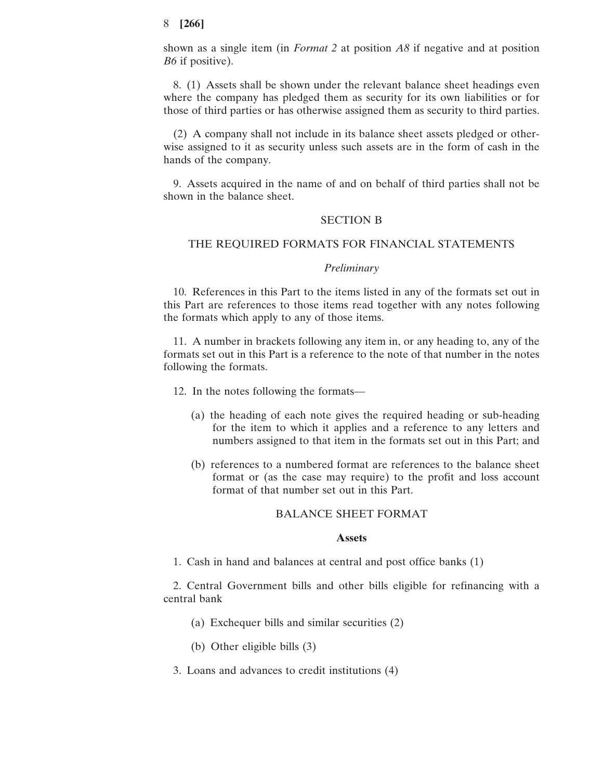shown as a single item (in *Format 2* at position *A8* if negative and at position *B6* if positive).

8. (1) Assets shall be shown under the relevant balance sheet headings even where the company has pledged them as security for its own liabilities or for those of third parties or has otherwise assigned them as security to third parties.

(2) A company shall not include in its balance sheet assets pledged or otherwise assigned to it as security unless such assets are in the form of cash in the hands of the company.

9. Assets acquired in the name of and on behalf of third parties shall not be shown in the balance sheet.

#### SECTION B

## THE REQUIRED FORMATS FOR FINANCIAL STATEMENTS

## *Preliminary*

10. References in this Part to the items listed in any of the formats set out in this Part are references to those items read together with any notes following the formats which apply to any of those items.

11. A number in brackets following any item in, or any heading to, any of the formats set out in this Part is a reference to the note of that number in the notes following the formats.

12. In the notes following the formats—

- (a) the heading of each note gives the required heading or sub-heading for the item to which it applies and a reference to any letters and numbers assigned to that item in the formats set out in this Part; and
- (b) references to a numbered format are references to the balance sheet format or (as the case may require) to the profit and loss account format of that number set out in this Part.

## BALANCE SHEET FORMAT

### **Assets**

1. Cash in hand and balances at central and post office banks (1)

2. Central Government bills and other bills eligible for refinancing with a central bank

- (a) Exchequer bills and similar securities (2)
- (b) Other eligible bills (3)
- 3. Loans and advances to credit institutions (4)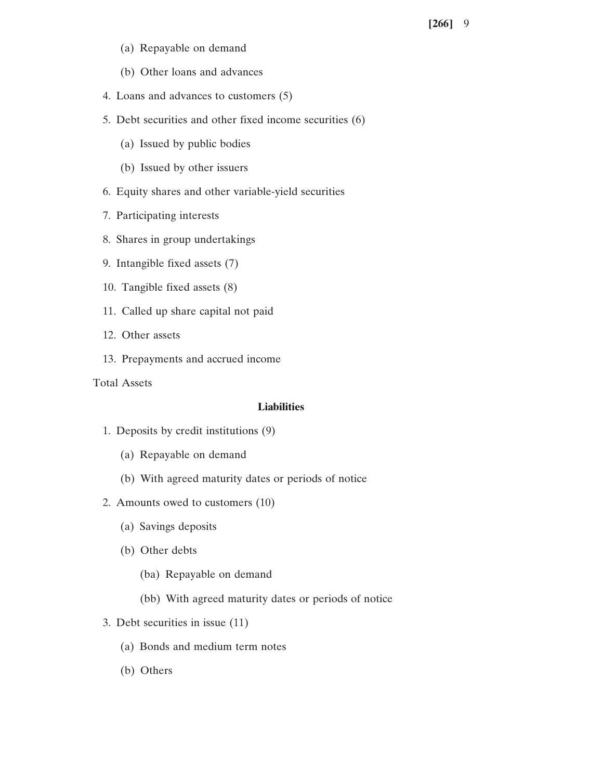- (a) Repayable on demand
- (b) Other loans and advances
- 4. Loans and advances to customers (5)
- 5. Debt securities and other fixed income securities (6)
	- (a) Issued by public bodies
	- (b) Issued by other issuers
- 6. Equity shares and other variable-yield securities
- 7. Participating interests
- 8. Shares in group undertakings
- 9. Intangible fixed assets (7)
- 10. Tangible fixed assets (8)
- 11. Called up share capital not paid
- 12. Other assets
- 13. Prepayments and accrued income

Total Assets

## **Liabilities**

- 1. Deposits by credit institutions (9)
	- (a) Repayable on demand
	- (b) With agreed maturity dates or periods of notice
- 2. Amounts owed to customers (10)
	- (a) Savings deposits
	- (b) Other debts
		- (ba) Repayable on demand
		- (bb) With agreed maturity dates or periods of notice
- 3. Debt securities in issue (11)
	- (a) Bonds and medium term notes
	- (b) Others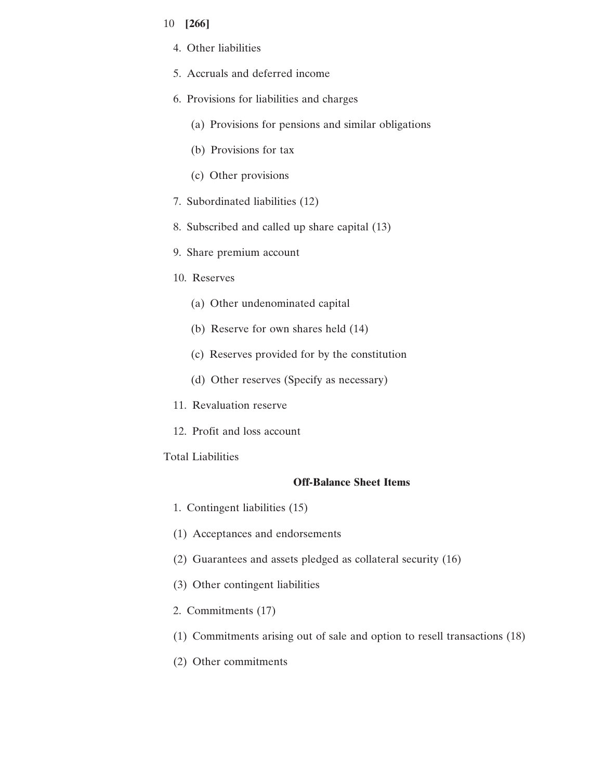- 10 **[266]**
	- 4. Other liabilities
	- 5. Accruals and deferred income
	- 6. Provisions for liabilities and charges
		- (a) Provisions for pensions and similar obligations
		- (b) Provisions for tax
		- (c) Other provisions
	- 7. Subordinated liabilities (12)
	- 8. Subscribed and called up share capital (13)
	- 9. Share premium account
	- 10. Reserves
		- (a) Other undenominated capital
		- (b) Reserve for own shares held (14)
		- (c) Reserves provided for by the constitution
		- (d) Other reserves (Specify as necessary)
	- 11. Revaluation reserve
	- 12. Profit and loss account

# Total Liabilities

# **Off-Balance Sheet Items**

- 1. Contingent liabilities (15)
- (1) Acceptances and endorsements
- (2) Guarantees and assets pledged as collateral security (16)
- (3) Other contingent liabilities
- 2. Commitments (17)
- (1) Commitments arising out of sale and option to resell transactions (18)
- (2) Other commitments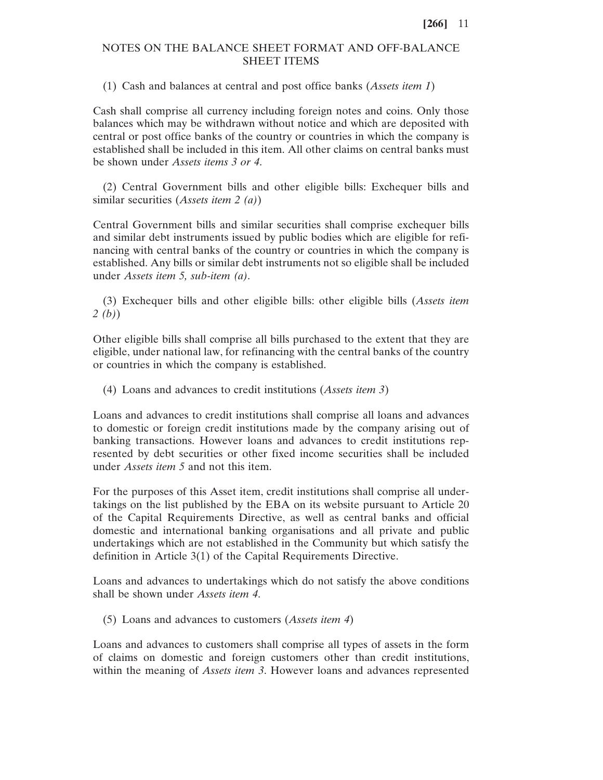# NOTES ON THE BALANCE SHEET FORMAT AND OFF-BALANCE SHEET ITEMS

(1) Cash and balances at central and post office banks (*Assets item 1*)

Cash shall comprise all currency including foreign notes and coins. Only those balances which may be withdrawn without notice and which are deposited with central or post office banks of the country or countries in which the company is established shall be included in this item. All other claims on central banks must be shown under *Assets items 3 or 4*.

(2) Central Government bills and other eligible bills: Exchequer bills and similar securities (*Assets item 2 (a)*)

Central Government bills and similar securities shall comprise exchequer bills and similar debt instruments issued by public bodies which are eligible for refinancing with central banks of the country or countries in which the company is established. Any bills or similar debt instruments not so eligible shall be included under *Assets item 5, sub-item (a)*.

(3) Exchequer bills and other eligible bills: other eligible bills (*Assets item 2 (b)*)

Other eligible bills shall comprise all bills purchased to the extent that they are eligible, under national law, for refinancing with the central banks of the country or countries in which the company is established.

(4) Loans and advances to credit institutions (*Assets item 3*)

Loans and advances to credit institutions shall comprise all loans and advances to domestic or foreign credit institutions made by the company arising out of banking transactions. However loans and advances to credit institutions represented by debt securities or other fixed income securities shall be included under *Assets item 5* and not this item.

For the purposes of this Asset item, credit institutions shall comprise all undertakings on the list published by the EBA on its website pursuant to Article 20 of the Capital Requirements Directive, as well as central banks and official domestic and international banking organisations and all private and public undertakings which are not established in the Community but which satisfy the definition in Article 3(1) of the Capital Requirements Directive.

Loans and advances to undertakings which do not satisfy the above conditions shall be shown under *Assets item 4*.

(5) Loans and advances to customers (*Assets item 4*)

Loans and advances to customers shall comprise all types of assets in the form of claims on domestic and foreign customers other than credit institutions, within the meaning of *Assets item 3*. However loans and advances represented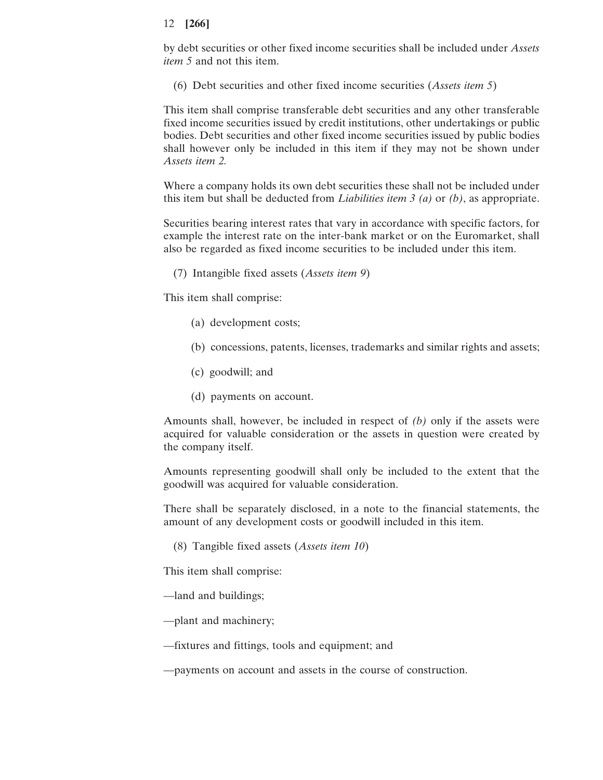by debt securities or other fixed income securities shall be included under *Assets item 5* and not this item.

(6) Debt securities and other fixed income securities (*Assets item 5*)

This item shall comprise transferable debt securities and any other transferable fixed income securities issued by credit institutions, other undertakings or public bodies. Debt securities and other fixed income securities issued by public bodies shall however only be included in this item if they may not be shown under *Assets item 2.*

Where a company holds its own debt securities these shall not be included under this item but shall be deducted from *Liabilities item 3 (a)* or *(b)*, as appropriate.

Securities bearing interest rates that vary in accordance with specific factors, for example the interest rate on the inter-bank market or on the Euromarket, shall also be regarded as fixed income securities to be included under this item.

(7) Intangible fixed assets (*Assets item 9*)

This item shall comprise:

- (a) development costs;
- (b) concessions, patents, licenses, trademarks and similar rights and assets;
- (c) goodwill; and
- (d) payments on account.

Amounts shall, however, be included in respect of *(b)* only if the assets were acquired for valuable consideration or the assets in question were created by the company itself.

Amounts representing goodwill shall only be included to the extent that the goodwill was acquired for valuable consideration.

There shall be separately disclosed, in a note to the financial statements, the amount of any development costs or goodwill included in this item.

(8) Tangible fixed assets (*Assets item 10*)

This item shall comprise:

- —land and buildings;
- —plant and machinery;
- —fixtures and fittings, tools and equipment; and

—payments on account and assets in the course of construction.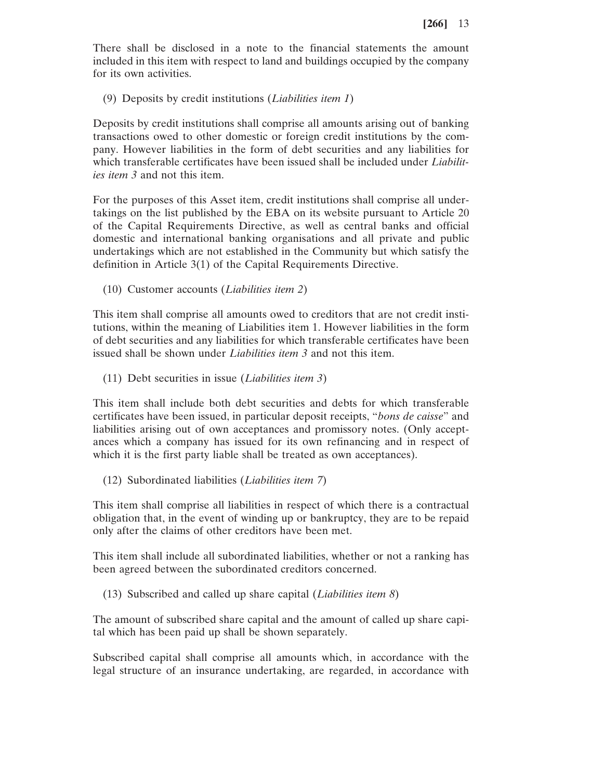There shall be disclosed in a note to the financial statements the amount included in this item with respect to land and buildings occupied by the company for its own activities.

(9) Deposits by credit institutions (*Liabilities item 1*)

Deposits by credit institutions shall comprise all amounts arising out of banking transactions owed to other domestic or foreign credit institutions by the company. However liabilities in the form of debt securities and any liabilities for which transferable certificates have been issued shall be included under *Liabilities item 3* and not this item.

For the purposes of this Asset item, credit institutions shall comprise all undertakings on the list published by the EBA on its website pursuant to Article 20 of the Capital Requirements Directive, as well as central banks and official domestic and international banking organisations and all private and public undertakings which are not established in the Community but which satisfy the definition in Article 3(1) of the Capital Requirements Directive.

(10) Customer accounts (*Liabilities item 2*)

This item shall comprise all amounts owed to creditors that are not credit institutions, within the meaning of Liabilities item 1. However liabilities in the form of debt securities and any liabilities for which transferable certificates have been issued shall be shown under *Liabilities item 3* and not this item.

(11) Debt securities in issue (*Liabilities item 3*)

This item shall include both debt securities and debts for which transferable certificates have been issued, in particular deposit receipts, "*bons de caisse*" and liabilities arising out of own acceptances and promissory notes. (Only acceptances which a company has issued for its own refinancing and in respect of which it is the first party liable shall be treated as own acceptances).

(12) Subordinated liabilities (*Liabilities item 7*)

This item shall comprise all liabilities in respect of which there is a contractual obligation that, in the event of winding up or bankruptcy, they are to be repaid only after the claims of other creditors have been met.

This item shall include all subordinated liabilities, whether or not a ranking has been agreed between the subordinated creditors concerned.

(13) Subscribed and called up share capital (*Liabilities item 8*)

The amount of subscribed share capital and the amount of called up share capital which has been paid up shall be shown separately.

Subscribed capital shall comprise all amounts which, in accordance with the legal structure of an insurance undertaking, are regarded, in accordance with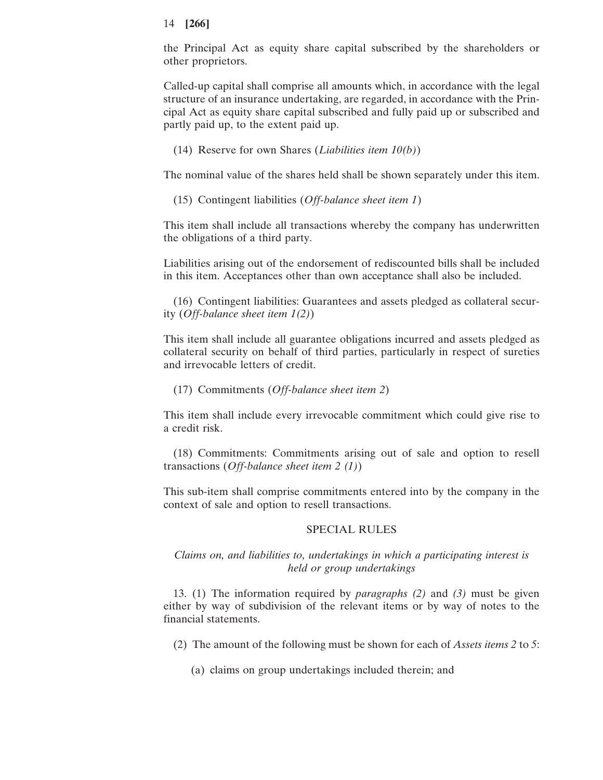the Principal Act as equity share capital subscribed by the shareholders or other proprietors.

Called-up capital shall comprise all amounts which, in accordance with the legal structure of an insurance undertaking, are regarded, in accordance with the Principal Act as equity share capital subscribed and fully paid up or subscribed and partly paid up, to the extent paid up.

(14) Reserve for own Shares (*Liabilities item 10(b)*)

The nominal value of the shares held shall be shown separately under this item.

(15) Contingent liabilities (*Off-balance sheet item 1*)

This item shall include all transactions whereby the company has underwritten the obligations of a third party.

Liabilities arising out of the endorsement of rediscounted bills shall be included in this item. Acceptances other than own acceptance shall also be included.

(16) Contingent liabilities: Guarantees and assets pledged as collateral security (*Off-balance sheet item 1(2)*)

This item shall include all guarantee obligations incurred and assets pledged as collateral security on behalf of third parties, particularly in respect of sureties and irrevocable letters of credit.

(17) Commitments (*Off-balance sheet item 2*)

This item shall include every irrevocable commitment which could give rise to a credit risk.

(18) Commitments: Commitments arising out of sale and option to resell transactions (*Off-balance sheet item 2 (1)*)

This sub-item shall comprise commitments entered into by the company in the context of sale and option to resell transactions.

## SPECIAL RULES

*Claims on, and liabilities to, undertakings in which a participating interest is held or group undertakings*

13. (1) The information required by *paragraphs (2)* and *(3)* must be given either by way of subdivision of the relevant items or by way of notes to the financial statements.

(2) The amount of the following must be shown for each of *Assets items 2* to *5*:

(a) claims on group undertakings included therein; and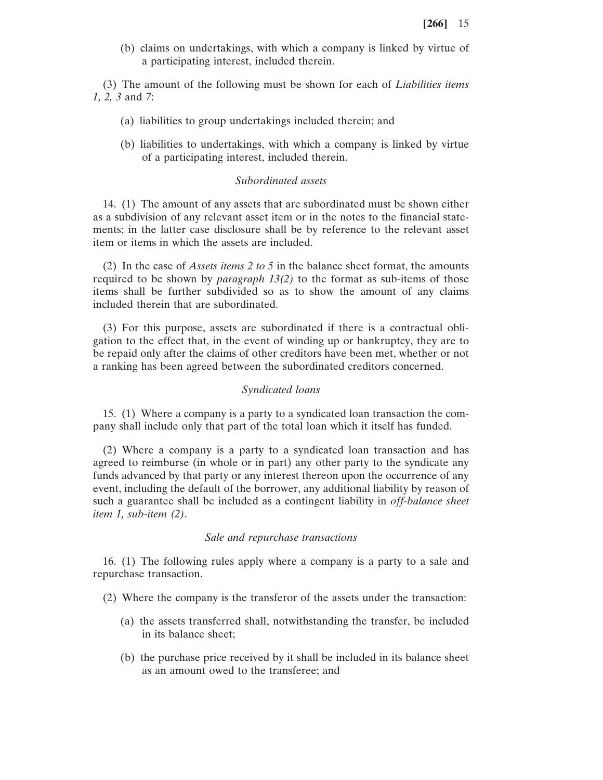(b) claims on undertakings, with which a company is linked by virtue of a participating interest, included therein.

(3) The amount of the following must be shown for each of *Liabilities items 1, 2, 3* and *7*:

- (a) liabilities to group undertakings included therein; and
- (b) liabilities to undertakings, with which a company is linked by virtue of a participating interest, included therein.

## *Subordinated assets*

14. (1) The amount of any assets that are subordinated must be shown either as a subdivision of any relevant asset item or in the notes to the financial statements; in the latter case disclosure shall be by reference to the relevant asset item or items in which the assets are included.

(2) In the case of *Assets items 2 to 5* in the balance sheet format, the amounts required to be shown by *paragraph 13(2)* to the format as sub-items of those items shall be further subdivided so as to show the amount of any claims included therein that are subordinated.

(3) For this purpose, assets are subordinated if there is a contractual obligation to the effect that, in the event of winding up or bankruptcy, they are to be repaid only after the claims of other creditors have been met, whether or not a ranking has been agreed between the subordinated creditors concerned.

#### *Syndicated loans*

15. (1) Where a company is a party to a syndicated loan transaction the company shall include only that part of the total loan which it itself has funded.

(2) Where a company is a party to a syndicated loan transaction and has agreed to reimburse (in whole or in part) any other party to the syndicate any funds advanced by that party or any interest thereon upon the occurrence of any event, including the default of the borrower, any additional liability by reason of such a guarantee shall be included as a contingent liability in *off-balance sheet item 1, sub-item (2)*.

#### *Sale and repurchase transactions*

16. (1) The following rules apply where a company is a party to a sale and repurchase transaction.

- (2) Where the company is the transferor of the assets under the transaction:
	- (a) the assets transferred shall, notwithstanding the transfer, be included in its balance sheet;
	- (b) the purchase price received by it shall be included in its balance sheet as an amount owed to the transferee; and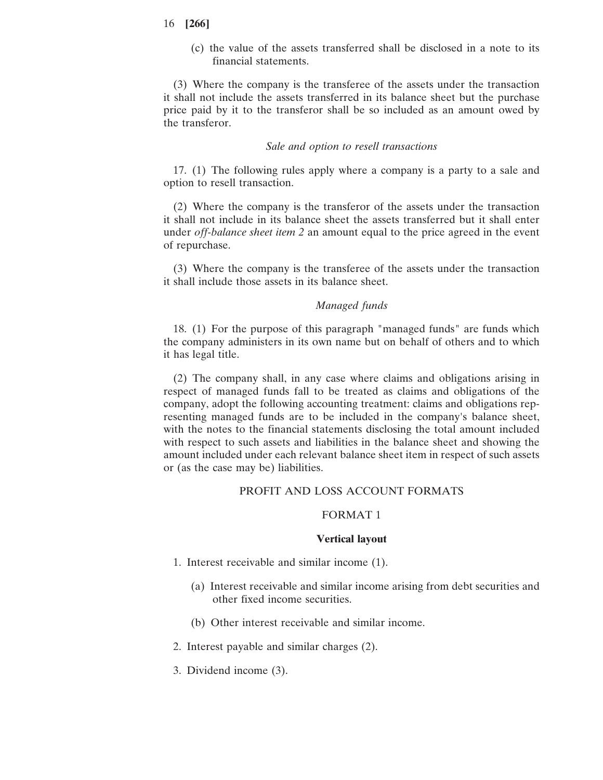(c) the value of the assets transferred shall be disclosed in a note to its financial statements.

(3) Where the company is the transferee of the assets under the transaction it shall not include the assets transferred in its balance sheet but the purchase price paid by it to the transferor shall be so included as an amount owed by the transferor.

### *Sale and option to resell transactions*

17. (1) The following rules apply where a company is a party to a sale and option to resell transaction.

(2) Where the company is the transferor of the assets under the transaction it shall not include in its balance sheet the assets transferred but it shall enter under *off-balance sheet item 2* an amount equal to the price agreed in the event of repurchase.

(3) Where the company is the transferee of the assets under the transaction it shall include those assets in its balance sheet.

## *Managed funds*

18. (1) For the purpose of this paragraph "managed funds" are funds which the company administers in its own name but on behalf of others and to which it has legal title.

(2) The company shall, in any case where claims and obligations arising in respect of managed funds fall to be treated as claims and obligations of the company, adopt the following accounting treatment: claims and obligations representing managed funds are to be included in the company's balance sheet, with the notes to the financial statements disclosing the total amount included with respect to such assets and liabilities in the balance sheet and showing the amount included under each relevant balance sheet item in respect of such assets or (as the case may be) liabilities.

### PROFIT AND LOSS ACCOUNT FORMATS

## FORMAT 1

### **Vertical layout**

- 1. Interest receivable and similar income (1).
	- (a) Interest receivable and similar income arising from debt securities and other fixed income securities.
	- (b) Other interest receivable and similar income.
- 2. Interest payable and similar charges (2).
- 3. Dividend income (3).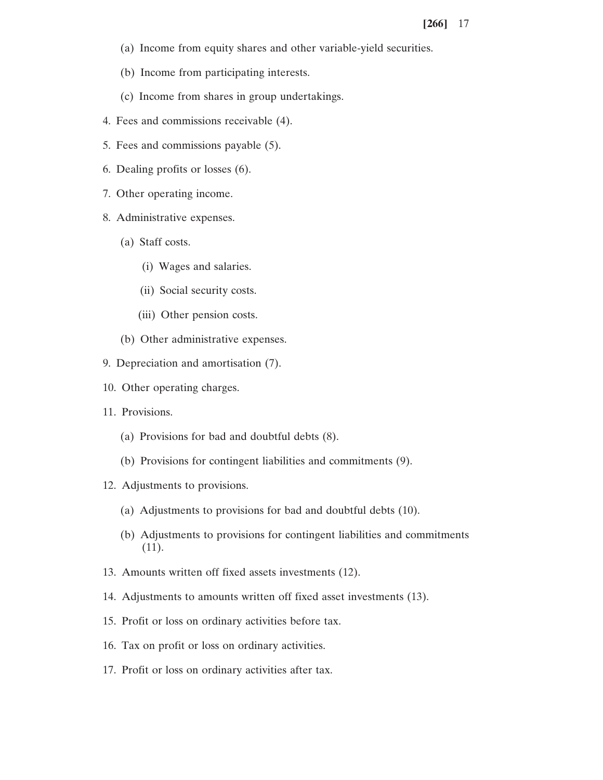- (a) Income from equity shares and other variable-yield securities.
- (b) Income from participating interests.
- (c) Income from shares in group undertakings.
- 4. Fees and commissions receivable (4).
- 5. Fees and commissions payable (5).
- 6. Dealing profits or losses (6).
- 7. Other operating income.
- 8. Administrative expenses.
	- (a) Staff costs.
		- (i) Wages and salaries.
		- (ii) Social security costs.
		- (iii) Other pension costs.
	- (b) Other administrative expenses.
- 9. Depreciation and amortisation (7).
- 10. Other operating charges.
- 11. Provisions.
	- (a) Provisions for bad and doubtful debts (8).
	- (b) Provisions for contingent liabilities and commitments (9).
- 12. Adjustments to provisions.
	- (a) Adjustments to provisions for bad and doubtful debts (10).
	- (b) Adjustments to provisions for contingent liabilities and commitments (11).
- 13. Amounts written off fixed assets investments (12).
- 14. Adjustments to amounts written off fixed asset investments (13).
- 15. Profit or loss on ordinary activities before tax.
- 16. Tax on profit or loss on ordinary activities.
- 17. Profit or loss on ordinary activities after tax.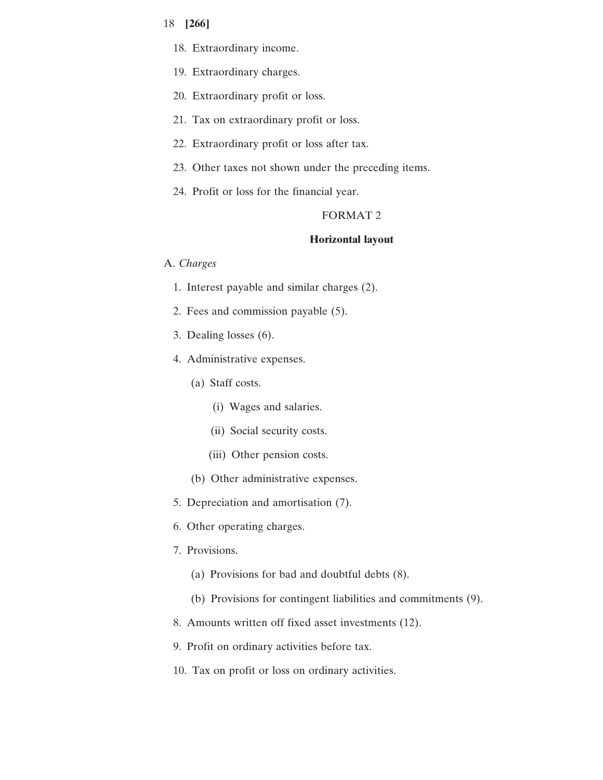- 18. Extraordinary income.
- 19. Extraordinary charges.
- 20. Extraordinary profit or loss.
- 21. Tax on extraordinary profit or loss.
- 22. Extraordinary profit or loss after tax.
- 23. Other taxes not shown under the preceding items.
- 24. Profit or loss for the financial year.

## FORMAT 2

### **Horizontal layout**

## A. *Charges*

- 1. Interest payable and similar charges (2).
- 2. Fees and commission payable (5).
- 3. Dealing losses (6).
- 4. Administrative expenses.
	- (a) Staff costs.
		- (i) Wages and salaries.
		- (ii) Social security costs.
		- (iii) Other pension costs.
	- (b) Other administrative expenses.
- 5. Depreciation and amortisation (7).
- 6. Other operating charges.
- 7. Provisions.
	- (a) Provisions for bad and doubtful debts (8).
	- (b) Provisions for contingent liabilities and commitments (9).
- 8. Amounts written off fixed asset investments (12).
- 9. Profit on ordinary activities before tax.
- 10. Tax on profit or loss on ordinary activities.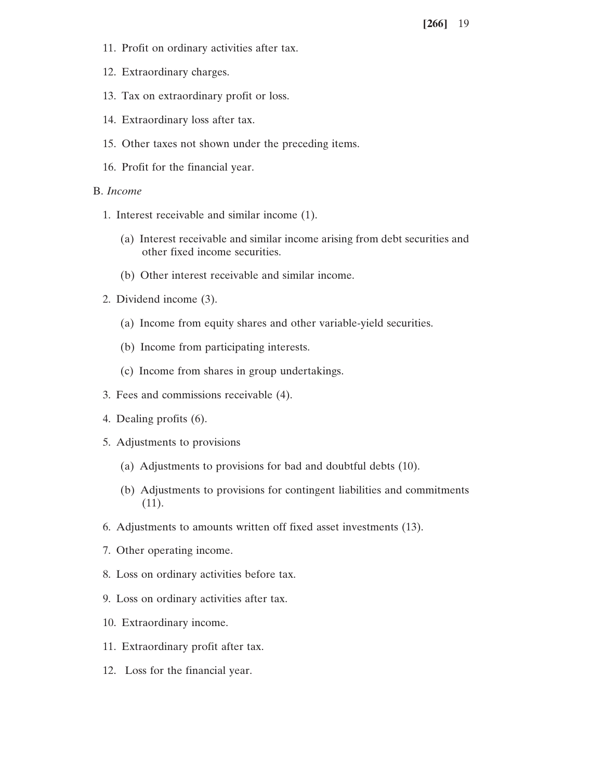- 11. Profit on ordinary activities after tax.
- 12. Extraordinary charges.
- 13. Tax on extraordinary profit or loss.
- 14. Extraordinary loss after tax.
- 15. Other taxes not shown under the preceding items.
- 16. Profit for the financial year.

### B. *Income*

- 1. Interest receivable and similar income (1).
	- (a) Interest receivable and similar income arising from debt securities and other fixed income securities.
	- (b) Other interest receivable and similar income.
- 2. Dividend income (3).
	- (a) Income from equity shares and other variable-yield securities.
	- (b) Income from participating interests.
	- (c) Income from shares in group undertakings.
- 3. Fees and commissions receivable (4).
- 4. Dealing profits (6).
- 5. Adjustments to provisions
	- (a) Adjustments to provisions for bad and doubtful debts (10).
	- (b) Adjustments to provisions for contingent liabilities and commitments (11).
- 6. Adjustments to amounts written off fixed asset investments (13).
- 7. Other operating income.
- 8. Loss on ordinary activities before tax.
- 9. Loss on ordinary activities after tax.
- 10. Extraordinary income.
- 11. Extraordinary profit after tax.
- 12. Loss for the financial year.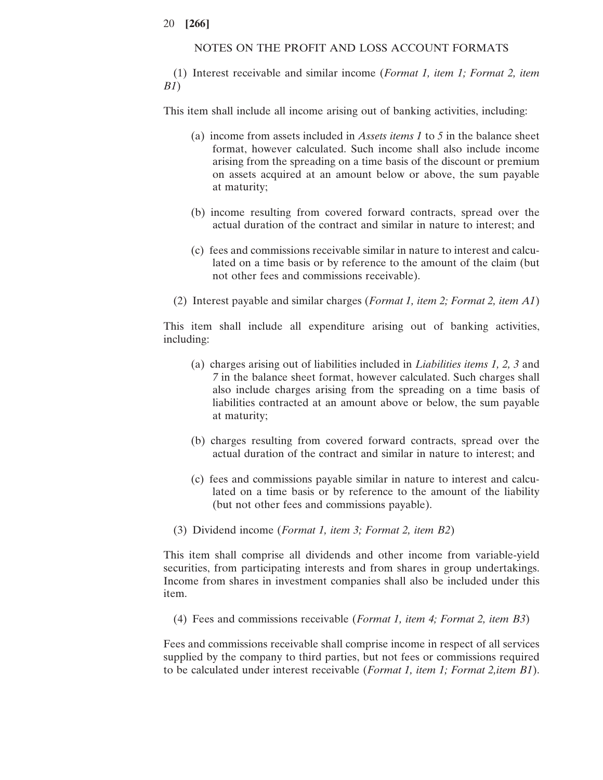## NOTES ON THE PROFIT AND LOSS ACCOUNT FORMATS

(1) Interest receivable and similar income (*Format 1, item 1; Format 2, item B1*)

This item shall include all income arising out of banking activities, including:

- (a) income from assets included in *Assets items 1* to *5* in the balance sheet format, however calculated. Such income shall also include income arising from the spreading on a time basis of the discount or premium on assets acquired at an amount below or above, the sum payable at maturity;
- (b) income resulting from covered forward contracts, spread over the actual duration of the contract and similar in nature to interest; and
- (c) fees and commissions receivable similar in nature to interest and calculated on a time basis or by reference to the amount of the claim (but not other fees and commissions receivable).
- (2) Interest payable and similar charges (*Format 1, item 2; Format 2, item A1*)

This item shall include all expenditure arising out of banking activities, including:

- (a) charges arising out of liabilities included in *Liabilities items 1, 2, 3* and *7* in the balance sheet format, however calculated. Such charges shall also include charges arising from the spreading on a time basis of liabilities contracted at an amount above or below, the sum payable at maturity;
- (b) charges resulting from covered forward contracts, spread over the actual duration of the contract and similar in nature to interest; and
- (c) fees and commissions payable similar in nature to interest and calculated on a time basis or by reference to the amount of the liability (but not other fees and commissions payable).
- (3) Dividend income (*Format 1, item 3; Format 2, item B2*)

This item shall comprise all dividends and other income from variable-yield securities, from participating interests and from shares in group undertakings. Income from shares in investment companies shall also be included under this item.

(4) Fees and commissions receivable (*Format 1, item 4; Format 2, item B3*)

Fees and commissions receivable shall comprise income in respect of all services supplied by the company to third parties, but not fees or commissions required to be calculated under interest receivable (*Format 1, item 1; Format 2,item B1*).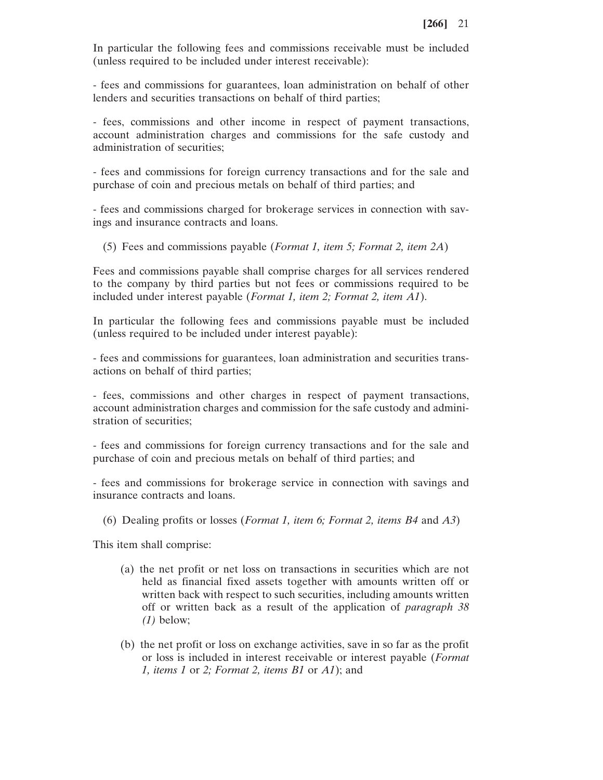In particular the following fees and commissions receivable must be included (unless required to be included under interest receivable):

- fees and commissions for guarantees, loan administration on behalf of other lenders and securities transactions on behalf of third parties;

- fees, commissions and other income in respect of payment transactions, account administration charges and commissions for the safe custody and administration of securities;

- fees and commissions for foreign currency transactions and for the sale and purchase of coin and precious metals on behalf of third parties; and

- fees and commissions charged for brokerage services in connection with savings and insurance contracts and loans.

(5) Fees and commissions payable (*Format 1, item 5; Format 2, item 2A*)

Fees and commissions payable shall comprise charges for all services rendered to the company by third parties but not fees or commissions required to be included under interest payable (*Format 1, item 2; Format 2, item A1*).

In particular the following fees and commissions payable must be included (unless required to be included under interest payable):

- fees and commissions for guarantees, loan administration and securities transactions on behalf of third parties;

- fees, commissions and other charges in respect of payment transactions, account administration charges and commission for the safe custody and administration of securities;

- fees and commissions for foreign currency transactions and for the sale and purchase of coin and precious metals on behalf of third parties; and

- fees and commissions for brokerage service in connection with savings and insurance contracts and loans.

(6) Dealing profits or losses (*Format 1, item 6; Format 2, items B4* and *A3*)

This item shall comprise:

- (a) the net profit or net loss on transactions in securities which are not held as financial fixed assets together with amounts written off or written back with respect to such securities, including amounts written off or written back as a result of the application of *paragraph 38 (1)* below;
- (b) the net profit or loss on exchange activities, save in so far as the profit or loss is included in interest receivable or interest payable (*Format 1, items 1* or *2; Format 2, items B1* or *A1*); and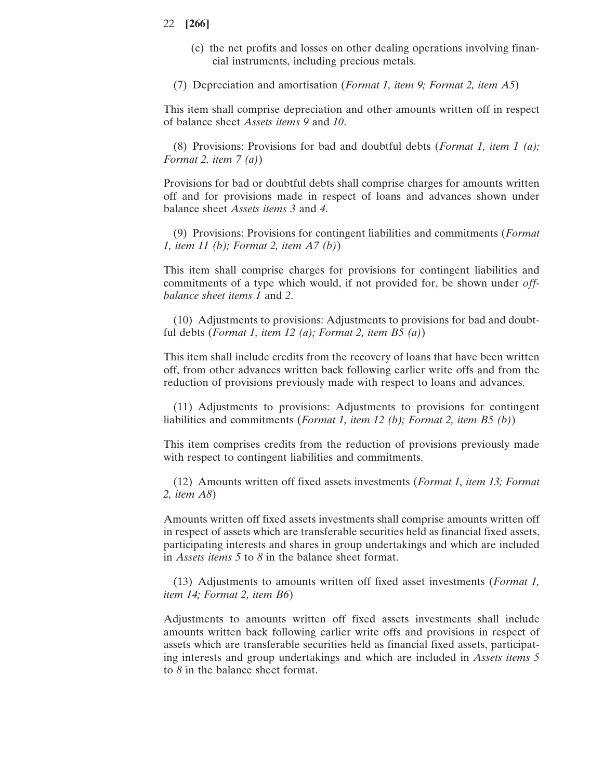- (c) the net profits and losses on other dealing operations involving financial instruments, including precious metals.
- (7) Depreciation and amortisation (*Format 1, item 9; Format 2, item A5*)

This item shall comprise depreciation and other amounts written off in respect of balance sheet *Assets items 9* and *10*.

(8) Provisions: Provisions for bad and doubtful debts (*Format 1, item 1 (a); Format 2, item 7 (a)*)

Provisions for bad or doubtful debts shall comprise charges for amounts written off and for provisions made in respect of loans and advances shown under balance sheet *Assets items 3* and *4*.

(9) Provisions: Provisions for contingent liabilities and commitments (*Format 1, item 11 (b); Format 2, item A7 (b)*)

This item shall comprise charges for provisions for contingent liabilities and commitments of a type which would, if not provided for, be shown under *offbalance sheet items 1* and *2*.

(10) Adjustments to provisions: Adjustments to provisions for bad and doubtful debts (*Format 1, item 12 (a); Format 2, item B5 (a)*)

This item shall include credits from the recovery of loans that have been written off, from other advances written back following earlier write offs and from the reduction of provisions previously made with respect to loans and advances.

(11) Adjustments to provisions: Adjustments to provisions for contingent liabilities and commitments (*Format 1, item 12 (b); Format 2, item B5 (b)*)

This item comprises credits from the reduction of provisions previously made with respect to contingent liabilities and commitments.

(12) Amounts written off fixed assets investments (*Format 1, item 13; Format 2, item A8*)

Amounts written off fixed assets investments shall comprise amounts written off in respect of assets which are transferable securities held as financial fixed assets, participating interests and shares in group undertakings and which are included in *Assets items 5* to *8* in the balance sheet format.

(13) Adjustments to amounts written off fixed asset investments (*Format 1, item 14; Format 2, item B6*)

Adjustments to amounts written off fixed assets investments shall include amounts written back following earlier write offs and provisions in respect of assets which are transferable securities held as financial fixed assets, participating interests and group undertakings and which are included in *Assets items 5* to *8* in the balance sheet format.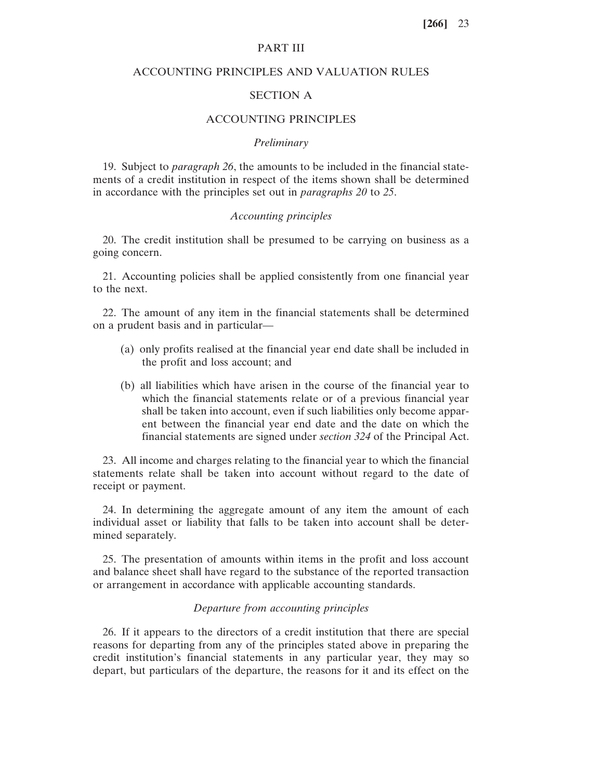## PART III

## ACCOUNTING PRINCIPLES AND VALUATION RULES

## SECTION A

## ACCOUNTING PRINCIPLES

#### *Preliminary*

19. Subject to *paragraph 26*, the amounts to be included in the financial statements of a credit institution in respect of the items shown shall be determined in accordance with the principles set out in *paragraphs 20* to *25*.

### *Accounting principles*

20. The credit institution shall be presumed to be carrying on business as a going concern.

21. Accounting policies shall be applied consistently from one financial year to the next.

22. The amount of any item in the financial statements shall be determined on a prudent basis and in particular—

- (a) only profits realised at the financial year end date shall be included in the profit and loss account; and
- (b) all liabilities which have arisen in the course of the financial year to which the financial statements relate or of a previous financial year shall be taken into account, even if such liabilities only become apparent between the financial year end date and the date on which the financial statements are signed under *section 324* of the Principal Act.

23. All income and charges relating to the financial year to which the financial statements relate shall be taken into account without regard to the date of receipt or payment.

24. In determining the aggregate amount of any item the amount of each individual asset or liability that falls to be taken into account shall be determined separately.

25. The presentation of amounts within items in the profit and loss account and balance sheet shall have regard to the substance of the reported transaction or arrangement in accordance with applicable accounting standards.

## *Departure from accounting principles*

26. If it appears to the directors of a credit institution that there are special reasons for departing from any of the principles stated above in preparing the credit institution's financial statements in any particular year, they may so depart, but particulars of the departure, the reasons for it and its effect on the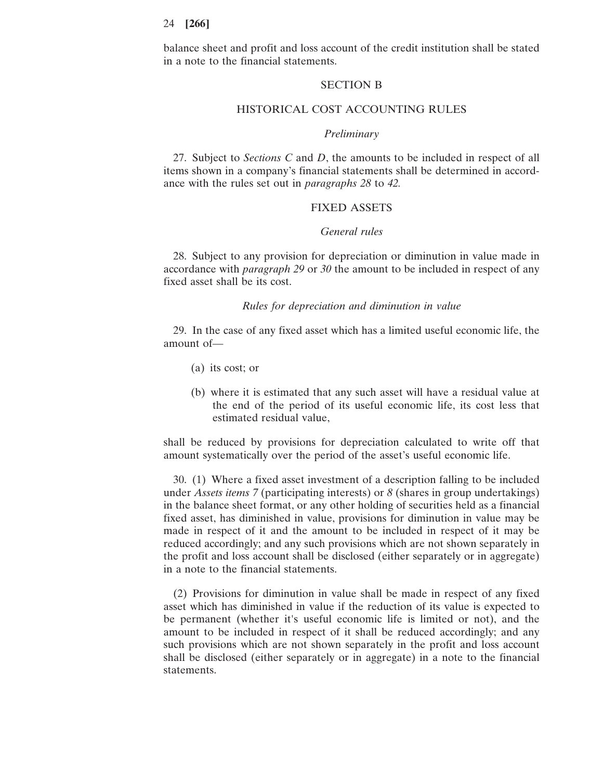balance sheet and profit and loss account of the credit institution shall be stated in a note to the financial statements.

#### SECTION B

### HISTORICAL COST ACCOUNTING RULES

#### *Preliminary*

27. Subject to *Sections C* and *D*, the amounts to be included in respect of all items shown in a company's financial statements shall be determined in accordance with the rules set out in *paragraphs 28* to *42.*

## FIXED ASSETS

#### *General rules*

28. Subject to any provision for depreciation or diminution in value made in accordance with *paragraph 29* or *30* the amount to be included in respect of any fixed asset shall be its cost.

## *Rules for depreciation and diminution in value*

29. In the case of any fixed asset which has a limited useful economic life, the amount of—

- (a) its cost; or
- (b) where it is estimated that any such asset will have a residual value at the end of the period of its useful economic life, its cost less that estimated residual value,

shall be reduced by provisions for depreciation calculated to write off that amount systematically over the period of the asset's useful economic life.

30. (1) Where a fixed asset investment of a description falling to be included under *Assets items 7* (participating interests) or *8* (shares in group undertakings) in the balance sheet format, or any other holding of securities held as a financial fixed asset, has diminished in value, provisions for diminution in value may be made in respect of it and the amount to be included in respect of it may be reduced accordingly; and any such provisions which are not shown separately in the profit and loss account shall be disclosed (either separately or in aggregate) in a note to the financial statements.

(2) Provisions for diminution in value shall be made in respect of any fixed asset which has diminished in value if the reduction of its value is expected to be permanent (whether it's useful economic life is limited or not), and the amount to be included in respect of it shall be reduced accordingly; and any such provisions which are not shown separately in the profit and loss account shall be disclosed (either separately or in aggregate) in a note to the financial statements.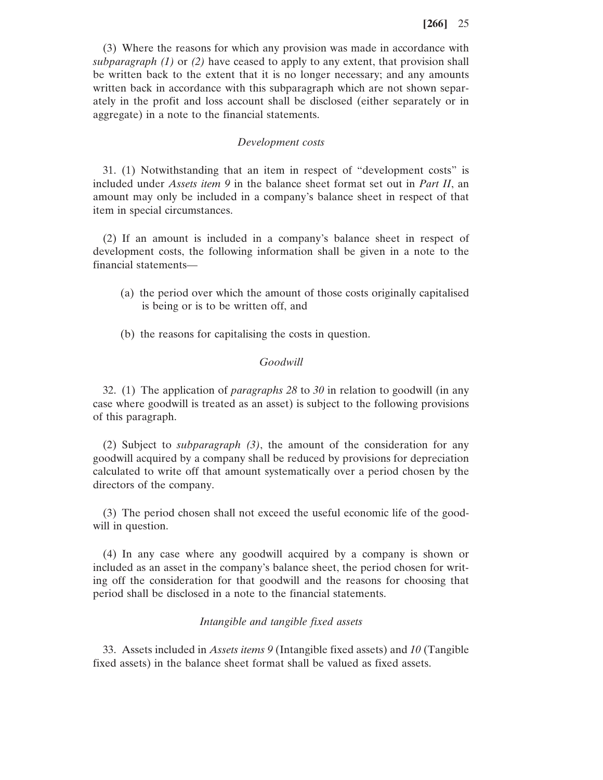(3) Where the reasons for which any provision was made in accordance with *subparagraph (1)* or *(2)* have ceased to apply to any extent, that provision shall be written back to the extent that it is no longer necessary; and any amounts written back in accordance with this subparagraph which are not shown separately in the profit and loss account shall be disclosed (either separately or in aggregate) in a note to the financial statements.

#### *Development costs*

31. (1) Notwithstanding that an item in respect of "development costs" is included under *Assets item 9* in the balance sheet format set out in *Part II*, an amount may only be included in a company's balance sheet in respect of that item in special circumstances.

(2) If an amount is included in a company's balance sheet in respect of development costs, the following information shall be given in a note to the financial statements—

- (a) the period over which the amount of those costs originally capitalised is being or is to be written off, and
- (b) the reasons for capitalising the costs in question.

### *Goodwill*

32. (1) The application of *paragraphs 28* to *30* in relation to goodwill (in any case where goodwill is treated as an asset) is subject to the following provisions of this paragraph.

(2) Subject to *subparagraph (3)*, the amount of the consideration for any goodwill acquired by a company shall be reduced by provisions for depreciation calculated to write off that amount systematically over a period chosen by the directors of the company.

(3) The period chosen shall not exceed the useful economic life of the goodwill in question.

(4) In any case where any goodwill acquired by a company is shown or included as an asset in the company's balance sheet, the period chosen for writing off the consideration for that goodwill and the reasons for choosing that period shall be disclosed in a note to the financial statements.

## *Intangible and tangible fixed assets*

33. Assets included in *Assets items 9* (Intangible fixed assets) and *10* (Tangible fixed assets) in the balance sheet format shall be valued as fixed assets.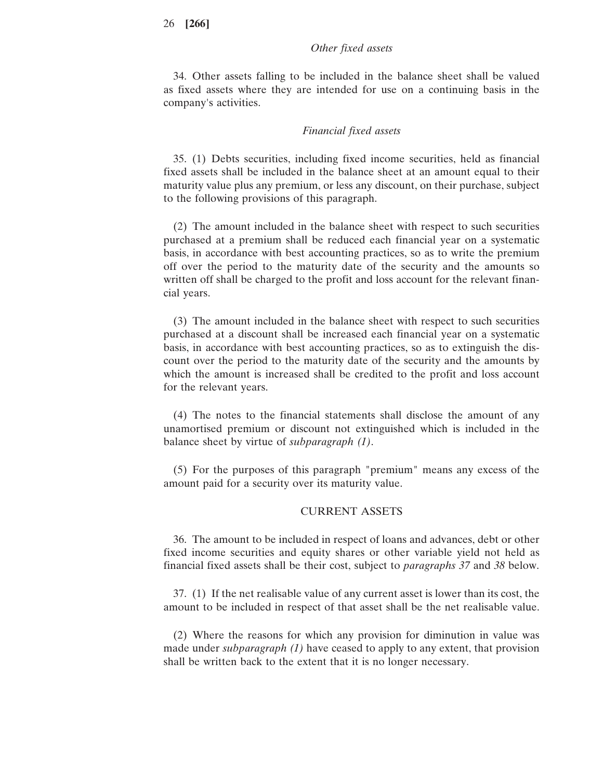## *Other fixed assets*

34. Other assets falling to be included in the balance sheet shall be valued as fixed assets where they are intended for use on a continuing basis in the company's activities.

### *Financial fixed assets*

35. (1) Debts securities, including fixed income securities, held as financial fixed assets shall be included in the balance sheet at an amount equal to their maturity value plus any premium, or less any discount, on their purchase, subject to the following provisions of this paragraph.

(2) The amount included in the balance sheet with respect to such securities purchased at a premium shall be reduced each financial year on a systematic basis, in accordance with best accounting practices, so as to write the premium off over the period to the maturity date of the security and the amounts so written off shall be charged to the profit and loss account for the relevant financial years.

(3) The amount included in the balance sheet with respect to such securities purchased at a discount shall be increased each financial year on a systematic basis, in accordance with best accounting practices, so as to extinguish the discount over the period to the maturity date of the security and the amounts by which the amount is increased shall be credited to the profit and loss account for the relevant years.

(4) The notes to the financial statements shall disclose the amount of any unamortised premium or discount not extinguished which is included in the balance sheet by virtue of *subparagraph (1)*.

(5) For the purposes of this paragraph "premium" means any excess of the amount paid for a security over its maturity value.

## CURRENT ASSETS

36. The amount to be included in respect of loans and advances, debt or other fixed income securities and equity shares or other variable yield not held as financial fixed assets shall be their cost, subject to *paragraphs 37* and *38* below.

37. (1) If the net realisable value of any current asset is lower than its cost, the amount to be included in respect of that asset shall be the net realisable value.

(2) Where the reasons for which any provision for diminution in value was made under *subparagraph (1)* have ceased to apply to any extent, that provision shall be written back to the extent that it is no longer necessary.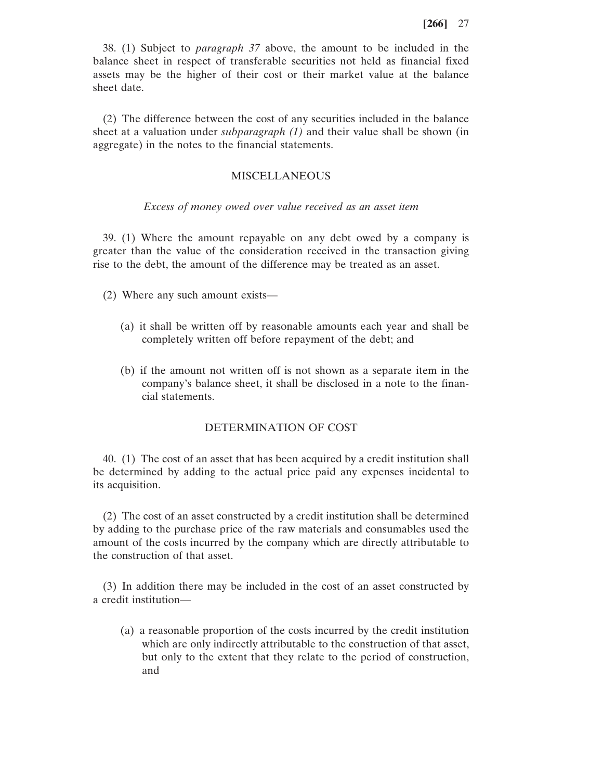38. (1) Subject to *paragraph 37* above, the amount to be included in the balance sheet in respect of transferable securities not held as financial fixed assets may be the higher of their cost or their market value at the balance sheet date.

(2) The difference between the cost of any securities included in the balance sheet at a valuation under *subparagraph (1)* and their value shall be shown (in aggregate) in the notes to the financial statements.

## MISCELLANEOUS

#### *Excess of money owed over value received as an asset item*

39. (1) Where the amount repayable on any debt owed by a company is greater than the value of the consideration received in the transaction giving rise to the debt, the amount of the difference may be treated as an asset.

- (2) Where any such amount exists—
	- (a) it shall be written off by reasonable amounts each year and shall be completely written off before repayment of the debt; and
	- (b) if the amount not written off is not shown as a separate item in the company's balance sheet, it shall be disclosed in a note to the financial statements.

# DETERMINATION OF COST

40. (1) The cost of an asset that has been acquired by a credit institution shall be determined by adding to the actual price paid any expenses incidental to its acquisition.

(2) The cost of an asset constructed by a credit institution shall be determined by adding to the purchase price of the raw materials and consumables used the amount of the costs incurred by the company which are directly attributable to the construction of that asset.

(3) In addition there may be included in the cost of an asset constructed by a credit institution—

(a) a reasonable proportion of the costs incurred by the credit institution which are only indirectly attributable to the construction of that asset, but only to the extent that they relate to the period of construction, and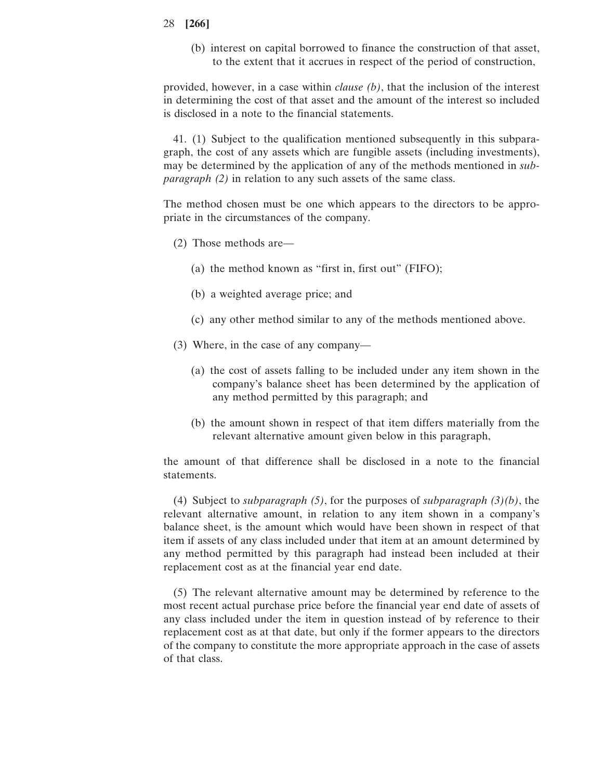(b) interest on capital borrowed to finance the construction of that asset, to the extent that it accrues in respect of the period of construction,

provided, however, in a case within *clause (b)*, that the inclusion of the interest in determining the cost of that asset and the amount of the interest so included is disclosed in a note to the financial statements.

41. (1) Subject to the qualification mentioned subsequently in this subparagraph, the cost of any assets which are fungible assets (including investments), may be determined by the application of any of the methods mentioned in *subparagraph (2)* in relation to any such assets of the same class.

The method chosen must be one which appears to the directors to be appropriate in the circumstances of the company.

- (2) Those methods are—
	- (a) the method known as "first in, first out" (FIFO);
	- (b) a weighted average price; and
	- (c) any other method similar to any of the methods mentioned above.
- (3) Where, in the case of any company—
	- (a) the cost of assets falling to be included under any item shown in the company's balance sheet has been determined by the application of any method permitted by this paragraph; and
	- (b) the amount shown in respect of that item differs materially from the relevant alternative amount given below in this paragraph,

the amount of that difference shall be disclosed in a note to the financial statements.

(4) Subject to *subparagraph (5)*, for the purposes of *subparagraph (3)(b)*, the relevant alternative amount, in relation to any item shown in a company's balance sheet, is the amount which would have been shown in respect of that item if assets of any class included under that item at an amount determined by any method permitted by this paragraph had instead been included at their replacement cost as at the financial year end date.

(5) The relevant alternative amount may be determined by reference to the most recent actual purchase price before the financial year end date of assets of any class included under the item in question instead of by reference to their replacement cost as at that date, but only if the former appears to the directors of the company to constitute the more appropriate approach in the case of assets of that class.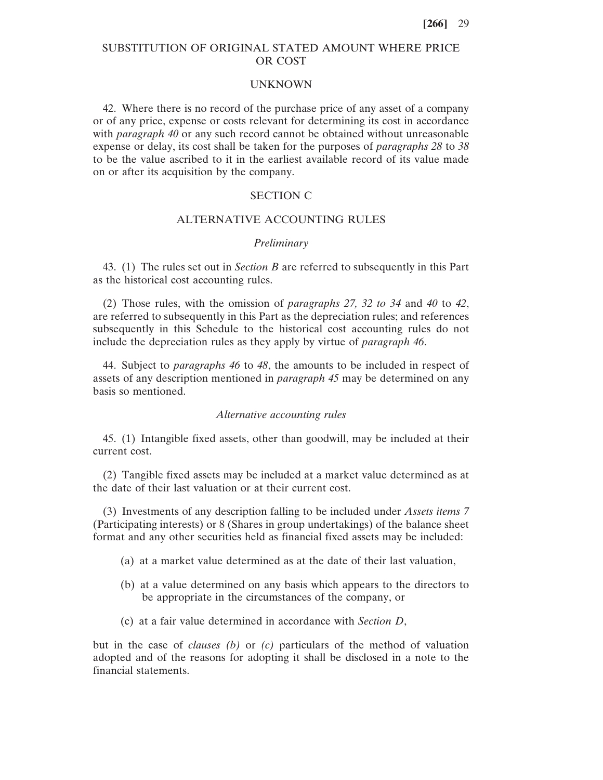## SUBSTITUTION OF ORIGINAL STATED AMOUNT WHERE PRICE OR COST

#### **UNKNOWN**

42. Where there is no record of the purchase price of any asset of a company or of any price, expense or costs relevant for determining its cost in accordance with *paragraph 40* or any such record cannot be obtained without unreasonable expense or delay, its cost shall be taken for the purposes of *paragraphs 28* to *38* to be the value ascribed to it in the earliest available record of its value made on or after its acquisition by the company.

## SECTION C

#### ALTERNATIVE ACCOUNTING RULES

#### *Preliminary*

43. (1) The rules set out in *Section B* are referred to subsequently in this Part as the historical cost accounting rules.

(2) Those rules, with the omission of *paragraphs 27, 32 to 34* and *40* to *42*, are referred to subsequently in this Part as the depreciation rules; and references subsequently in this Schedule to the historical cost accounting rules do not include the depreciation rules as they apply by virtue of *paragraph 46*.

44. Subject to *paragraphs 46* to *48*, the amounts to be included in respect of assets of any description mentioned in *paragraph 45* may be determined on any basis so mentioned.

#### *Alternative accounting rules*

45. (1) Intangible fixed assets, other than goodwill, may be included at their current cost.

(2) Tangible fixed assets may be included at a market value determined as at the date of their last valuation or at their current cost.

(3) Investments of any description falling to be included under *Assets items 7* (Participating interests) or 8 (Shares in group undertakings) of the balance sheet format and any other securities held as financial fixed assets may be included:

- (a) at a market value determined as at the date of their last valuation,
- (b) at a value determined on any basis which appears to the directors to be appropriate in the circumstances of the company, or
- (c) at a fair value determined in accordance with *Section D*,

but in the case of *clauses (b)* or *(c)* particulars of the method of valuation adopted and of the reasons for adopting it shall be disclosed in a note to the financial statements.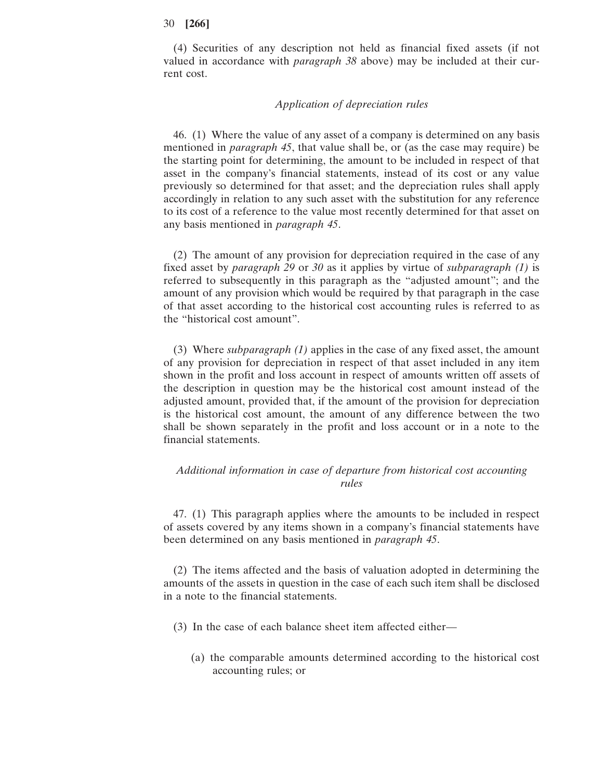(4) Securities of any description not held as financial fixed assets (if not valued in accordance with *paragraph 38* above) may be included at their current cost.

### *Application of depreciation rules*

46. (1) Where the value of any asset of a company is determined on any basis mentioned in *paragraph 45*, that value shall be, or (as the case may require) be the starting point for determining, the amount to be included in respect of that asset in the company's financial statements, instead of its cost or any value previously so determined for that asset; and the depreciation rules shall apply accordingly in relation to any such asset with the substitution for any reference to its cost of a reference to the value most recently determined for that asset on any basis mentioned in *paragraph 45*.

(2) The amount of any provision for depreciation required in the case of any fixed asset by *paragraph 29* or *30* as it applies by virtue of *subparagraph (1)* is referred to subsequently in this paragraph as the "adjusted amount"; and the amount of any provision which would be required by that paragraph in the case of that asset according to the historical cost accounting rules is referred to as the "historical cost amount".

(3) Where *subparagraph (1)* applies in the case of any fixed asset, the amount of any provision for depreciation in respect of that asset included in any item shown in the profit and loss account in respect of amounts written off assets of the description in question may be the historical cost amount instead of the adjusted amount, provided that, if the amount of the provision for depreciation is the historical cost amount, the amount of any difference between the two shall be shown separately in the profit and loss account or in a note to the financial statements.

## *Additional information in case of departure from historical cost accounting rules*

47. (1) This paragraph applies where the amounts to be included in respect of assets covered by any items shown in a company's financial statements have been determined on any basis mentioned in *paragraph 45*.

(2) The items affected and the basis of valuation adopted in determining the amounts of the assets in question in the case of each such item shall be disclosed in a note to the financial statements.

- (3) In the case of each balance sheet item affected either—
	- (a) the comparable amounts determined according to the historical cost accounting rules; or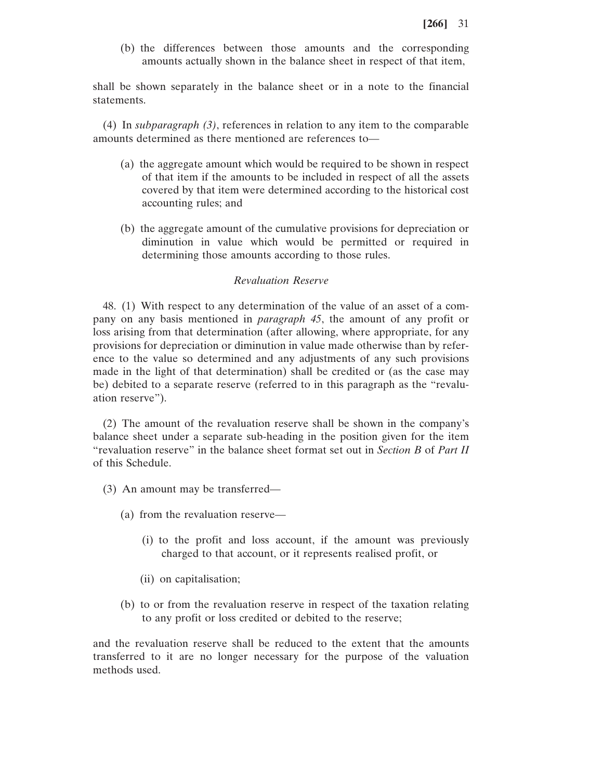(b) the differences between those amounts and the corresponding amounts actually shown in the balance sheet in respect of that item,

shall be shown separately in the balance sheet or in a note to the financial statements.

(4) In *subparagraph (3)*, references in relation to any item to the comparable amounts determined as there mentioned are references to—

- (a) the aggregate amount which would be required to be shown in respect of that item if the amounts to be included in respect of all the assets covered by that item were determined according to the historical cost accounting rules; and
- (b) the aggregate amount of the cumulative provisions for depreciation or diminution in value which would be permitted or required in determining those amounts according to those rules.

### *Revaluation Reserve*

48. (1) With respect to any determination of the value of an asset of a company on any basis mentioned in *paragraph 45*, the amount of any profit or loss arising from that determination (after allowing, where appropriate, for any provisions for depreciation or diminution in value made otherwise than by reference to the value so determined and any adjustments of any such provisions made in the light of that determination) shall be credited or (as the case may be) debited to a separate reserve (referred to in this paragraph as the "revaluation reserve").

(2) The amount of the revaluation reserve shall be shown in the company's balance sheet under a separate sub-heading in the position given for the item "revaluation reserve" in the balance sheet format set out in *Section B* of *Part II* of this Schedule.

- (3) An amount may be transferred—
	- (a) from the revaluation reserve—
		- (i) to the profit and loss account, if the amount was previously charged to that account, or it represents realised profit, or
		- (ii) on capitalisation;
	- (b) to or from the revaluation reserve in respect of the taxation relating to any profit or loss credited or debited to the reserve;

and the revaluation reserve shall be reduced to the extent that the amounts transferred to it are no longer necessary for the purpose of the valuation methods used.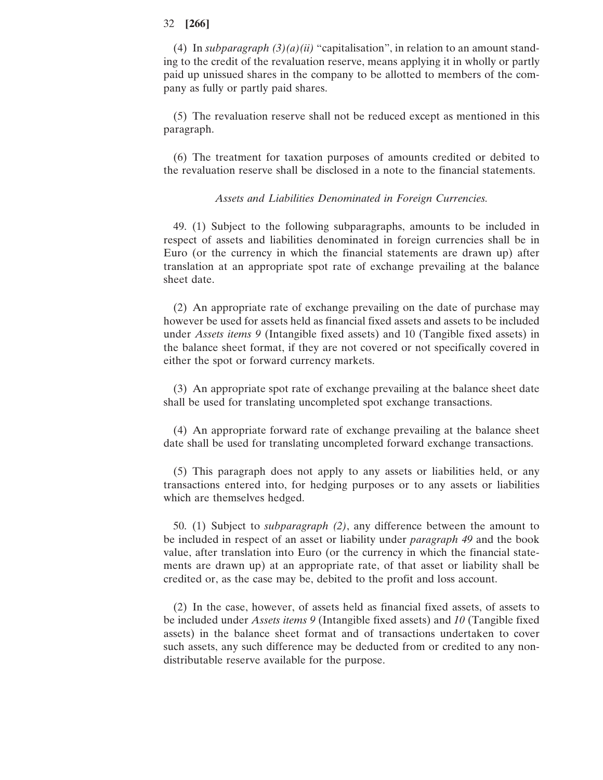(4) In *subparagraph*  $(3)(a)(ii)$  "capitalisation", in relation to an amount standing to the credit of the revaluation reserve, means applying it in wholly or partly paid up unissued shares in the company to be allotted to members of the company as fully or partly paid shares.

(5) The revaluation reserve shall not be reduced except as mentioned in this paragraph.

(6) The treatment for taxation purposes of amounts credited or debited to the revaluation reserve shall be disclosed in a note to the financial statements.

#### *Assets and Liabilities Denominated in Foreign Currencies.*

49. (1) Subject to the following subparagraphs, amounts to be included in respect of assets and liabilities denominated in foreign currencies shall be in Euro (or the currency in which the financial statements are drawn up) after translation at an appropriate spot rate of exchange prevailing at the balance sheet date.

(2) An appropriate rate of exchange prevailing on the date of purchase may however be used for assets held as financial fixed assets and assets to be included under *Assets items 9* (Intangible fixed assets) and 10 (Tangible fixed assets) in the balance sheet format, if they are not covered or not specifically covered in either the spot or forward currency markets.

(3) An appropriate spot rate of exchange prevailing at the balance sheet date shall be used for translating uncompleted spot exchange transactions.

(4) An appropriate forward rate of exchange prevailing at the balance sheet date shall be used for translating uncompleted forward exchange transactions.

(5) This paragraph does not apply to any assets or liabilities held, or any transactions entered into, for hedging purposes or to any assets or liabilities which are themselves hedged.

50. (1) Subject to *subparagraph (2)*, any difference between the amount to be included in respect of an asset or liability under *paragraph 49* and the book value, after translation into Euro (or the currency in which the financial statements are drawn up) at an appropriate rate, of that asset or liability shall be credited or, as the case may be, debited to the profit and loss account.

(2) In the case, however, of assets held as financial fixed assets, of assets to be included under *Assets items 9* (Intangible fixed assets) and *10* (Tangible fixed assets) in the balance sheet format and of transactions undertaken to cover such assets, any such difference may be deducted from or credited to any nondistributable reserve available for the purpose.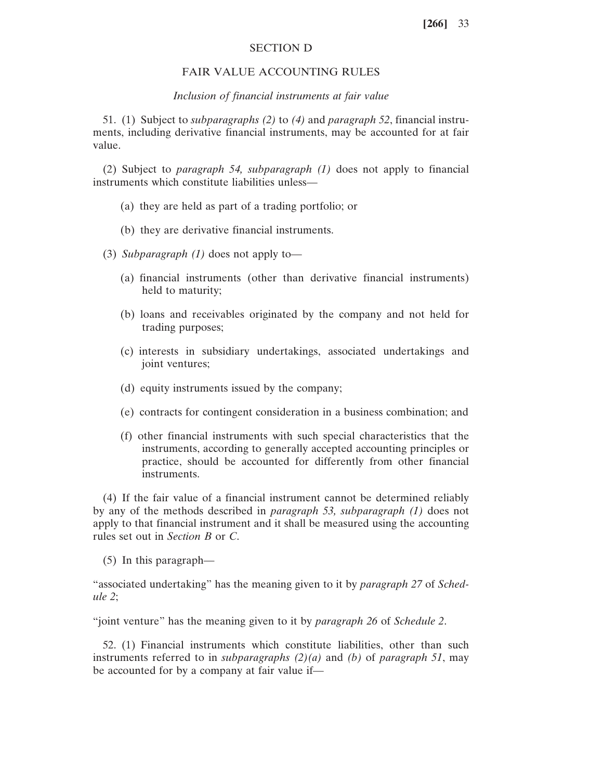### SECTION D

## FAIR VALUE ACCOUNTING RULES

#### *Inclusion of financial instruments at fair value*

51. (1) Subject to *subparagraphs (2)* to *(4)* and *paragraph 52*, financial instruments, including derivative financial instruments, may be accounted for at fair value.

(2) Subject to *paragraph 54, subparagraph (1)* does not apply to financial instruments which constitute liabilities unless—

- (a) they are held as part of a trading portfolio; or
- (b) they are derivative financial instruments.
- (3) *Subparagraph (1)* does not apply to—
	- (a) financial instruments (other than derivative financial instruments) held to maturity;
	- (b) loans and receivables originated by the company and not held for trading purposes;
	- (c) interests in subsidiary undertakings, associated undertakings and joint ventures;
	- (d) equity instruments issued by the company;
	- (e) contracts for contingent consideration in a business combination; and
	- (f) other financial instruments with such special characteristics that the instruments, according to generally accepted accounting principles or practice, should be accounted for differently from other financial instruments.

(4) If the fair value of a financial instrument cannot be determined reliably by any of the methods described in *paragraph 53, subparagraph (1)* does not apply to that financial instrument and it shall be measured using the accounting rules set out in *Section B* or *C*.

(5) In this paragraph—

"associated undertaking" has the meaning given to it by *paragraph 27* of *Schedule 2*;

"joint venture" has the meaning given to it by *paragraph 26* of *Schedule 2*.

52. (1) Financial instruments which constitute liabilities, other than such instruments referred to in *subparagraphs (2)(a)* and *(b)* of *paragraph 51*, may be accounted for by a company at fair value if—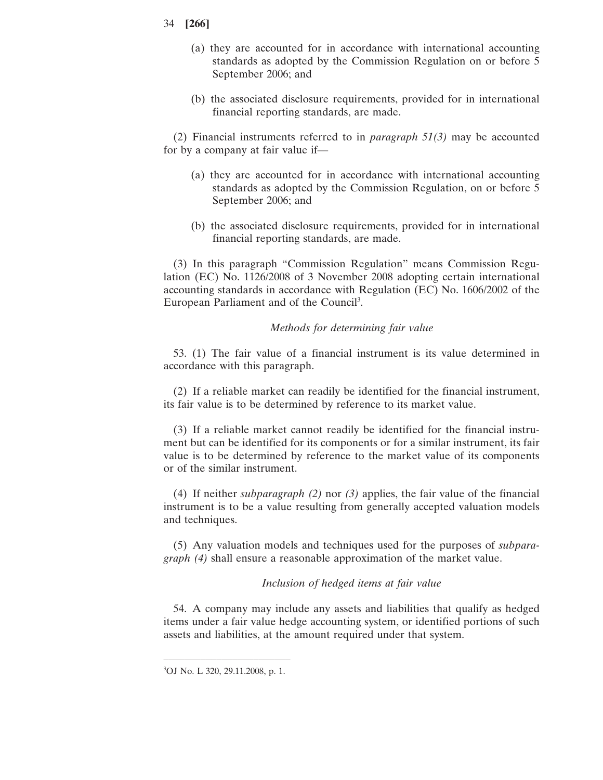- 34 **[266]**
	- (a) they are accounted for in accordance with international accounting standards as adopted by the Commission Regulation on or before 5 September 2006; and
	- (b) the associated disclosure requirements, provided for in international financial reporting standards, are made.

(2) Financial instruments referred to in *paragraph 51(3)* may be accounted for by a company at fair value if—

- (a) they are accounted for in accordance with international accounting standards as adopted by the Commission Regulation, on or before 5 September 2006; and
- (b) the associated disclosure requirements, provided for in international financial reporting standards, are made.

(3) In this paragraph "Commission Regulation" means Commission Regulation (EC) No. 1126/2008 of 3 November 2008 adopting certain international accounting standards in accordance with Regulation (EC) No. 1606/2002 of the European Parliament and of the Council<sup>3</sup>.

## *Methods for determining fair value*

53. (1) The fair value of a financial instrument is its value determined in accordance with this paragraph.

(2) If a reliable market can readily be identified for the financial instrument, its fair value is to be determined by reference to its market value.

(3) If a reliable market cannot readily be identified for the financial instrument but can be identified for its components or for a similar instrument, its fair value is to be determined by reference to the market value of its components or of the similar instrument.

(4) If neither *subparagraph (2)* nor *(3)* applies, the fair value of the financial instrument is to be a value resulting from generally accepted valuation models and techniques.

(5) Any valuation models and techniques used for the purposes of *subparagraph (4)* shall ensure a reasonable approximation of the market value.

## *Inclusion of hedged items at fair value*

54. A company may include any assets and liabilities that qualify as hedged items under a fair value hedge accounting system, or identified portions of such assets and liabilities, at the amount required under that system.

 $\mathcal{L}=\{1,2,3,4\}$  , we can assume that the contract of  $\mathcal{L}=\{1,2,3,4\}$ 3 OJ No. L 320, 29.11.2008, p. 1.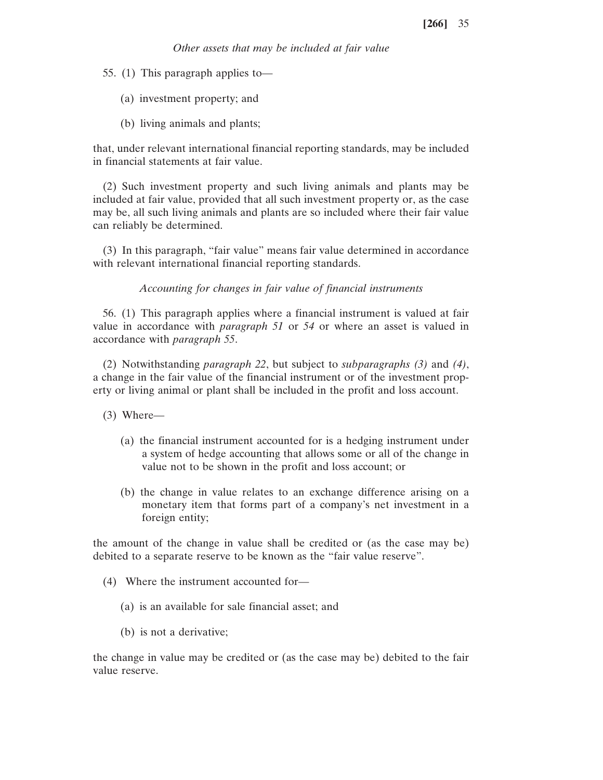*Other assets that may be included at fair value*

55. (1) This paragraph applies to—

- (a) investment property; and
- (b) living animals and plants;

that, under relevant international financial reporting standards, may be included in financial statements at fair value.

(2) Such investment property and such living animals and plants may be included at fair value, provided that all such investment property or, as the case may be, all such living animals and plants are so included where their fair value can reliably be determined.

(3) In this paragraph, "fair value" means fair value determined in accordance with relevant international financial reporting standards.

*Accounting for changes in fair value of financial instruments*

56. (1) This paragraph applies where a financial instrument is valued at fair value in accordance with *paragraph 51* or *54* or where an asset is valued in accordance with *paragraph 55*.

(2) Notwithstanding *paragraph 22*, but subject to *subparagraphs (3)* and *(4)*, a change in the fair value of the financial instrument or of the investment property or living animal or plant shall be included in the profit and loss account.

(3) Where—

- (a) the financial instrument accounted for is a hedging instrument under a system of hedge accounting that allows some or all of the change in value not to be shown in the profit and loss account; or
- (b) the change in value relates to an exchange difference arising on a monetary item that forms part of a company's net investment in a foreign entity;

the amount of the change in value shall be credited or (as the case may be) debited to a separate reserve to be known as the "fair value reserve".

- (4) Where the instrument accounted for—
	- (a) is an available for sale financial asset; and
	- (b) is not a derivative;

the change in value may be credited or (as the case may be) debited to the fair value reserve.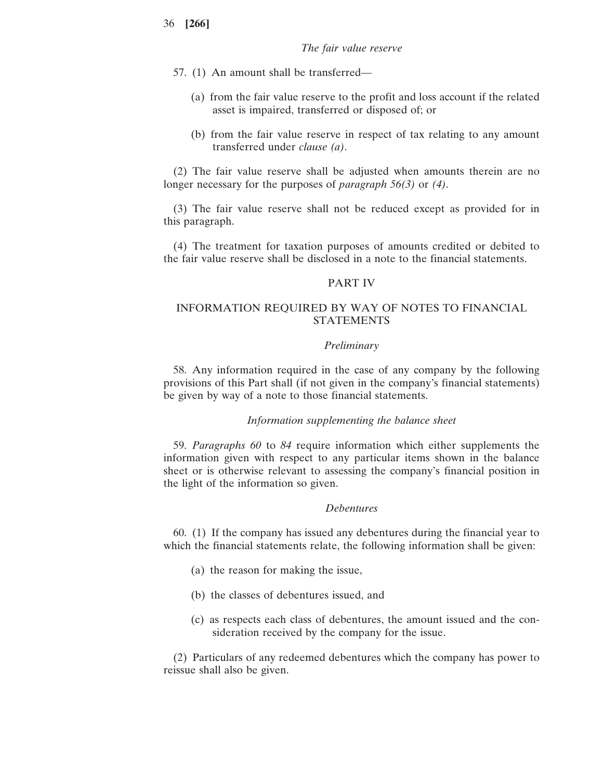- 57. (1) An amount shall be transferred—
	- (a) from the fair value reserve to the profit and loss account if the related asset is impaired, transferred or disposed of; or
	- (b) from the fair value reserve in respect of tax relating to any amount transferred under *clause (a)*.

(2) The fair value reserve shall be adjusted when amounts therein are no longer necessary for the purposes of *paragraph 56(3)* or *(4)*.

(3) The fair value reserve shall not be reduced except as provided for in this paragraph.

(4) The treatment for taxation purposes of amounts credited or debited to the fair value reserve shall be disclosed in a note to the financial statements.

## PART IV

## INFORMATION REQUIRED BY WAY OF NOTES TO FINANCIAL STATEMENTS

### *Preliminary*

58. Any information required in the case of any company by the following provisions of this Part shall (if not given in the company's financial statements) be given by way of a note to those financial statements.

#### *Information supplementing the balance sheet*

59. *Paragraphs 60* to *84* require information which either supplements the information given with respect to any particular items shown in the balance sheet or is otherwise relevant to assessing the company's financial position in the light of the information so given.

#### *Debentures*

60. (1) If the company has issued any debentures during the financial year to which the financial statements relate, the following information shall be given:

- (a) the reason for making the issue,
- (b) the classes of debentures issued, and
- (c) as respects each class of debentures, the amount issued and the consideration received by the company for the issue.

(2) Particulars of any redeemed debentures which the company has power to reissue shall also be given.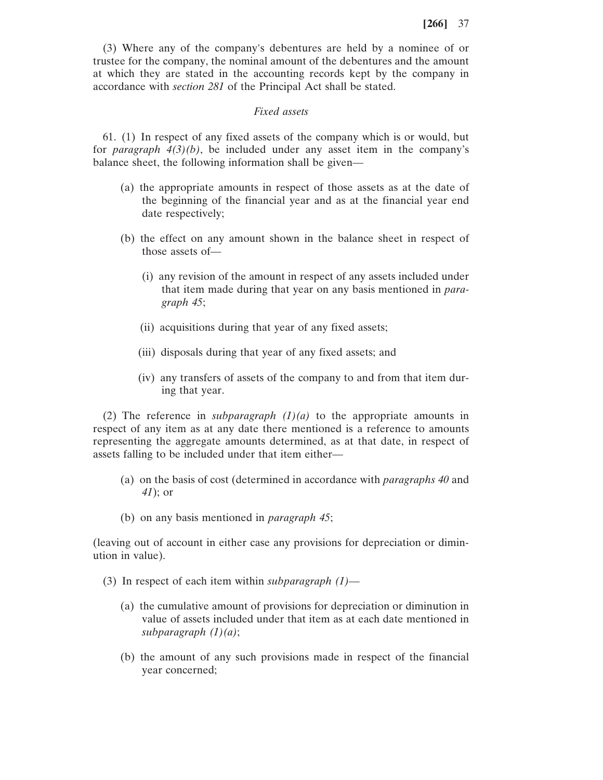(3) Where any of the company's debentures are held by a nominee of or trustee for the company, the nominal amount of the debentures and the amount at which they are stated in the accounting records kept by the company in accordance with *section 281* of the Principal Act shall be stated.

## *Fixed assets*

61. (1) In respect of any fixed assets of the company which is or would, but for *paragraph 4(3)(b)*, be included under any asset item in the company's balance sheet, the following information shall be given—

- (a) the appropriate amounts in respect of those assets as at the date of the beginning of the financial year and as at the financial year end date respectively;
- (b) the effect on any amount shown in the balance sheet in respect of those assets of—
	- (i) any revision of the amount in respect of any assets included under that item made during that year on any basis mentioned in *paragraph 45*;
	- (ii) acquisitions during that year of any fixed assets;
	- (iii) disposals during that year of any fixed assets; and
	- (iv) any transfers of assets of the company to and from that item during that year.

(2) The reference in *subparagraph*  $(1)(a)$  to the appropriate amounts in respect of any item as at any date there mentioned is a reference to amounts representing the aggregate amounts determined, as at that date, in respect of assets falling to be included under that item either—

- (a) on the basis of cost (determined in accordance with *paragraphs 40* and *41*); or
- (b) on any basis mentioned in *paragraph 45*;

(leaving out of account in either case any provisions for depreciation or diminution in value).

- (3) In respect of each item within *subparagraph (1)*
	- (a) the cumulative amount of provisions for depreciation or diminution in value of assets included under that item as at each date mentioned in *subparagraph (1)(a)*;
	- (b) the amount of any such provisions made in respect of the financial year concerned;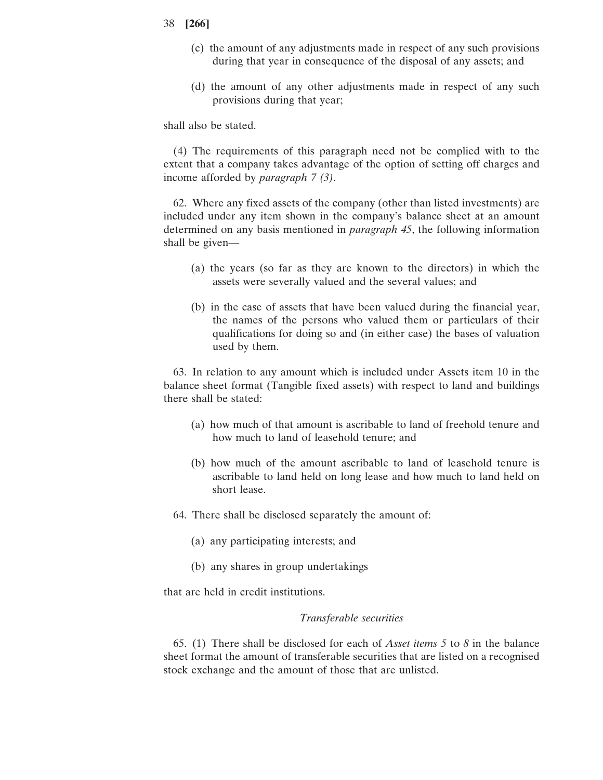- (c) the amount of any adjustments made in respect of any such provisions during that year in consequence of the disposal of any assets; and
- (d) the amount of any other adjustments made in respect of any such provisions during that year;

shall also be stated.

(4) The requirements of this paragraph need not be complied with to the extent that a company takes advantage of the option of setting off charges and income afforded by *paragraph 7 (3)*.

62. Where any fixed assets of the company (other than listed investments) are included under any item shown in the company's balance sheet at an amount determined on any basis mentioned in *paragraph 45*, the following information shall be given—

- (a) the years (so far as they are known to the directors) in which the assets were severally valued and the several values; and
- (b) in the case of assets that have been valued during the financial year, the names of the persons who valued them or particulars of their qualifications for doing so and (in either case) the bases of valuation used by them.

63. In relation to any amount which is included under Assets item 10 in the balance sheet format (Tangible fixed assets) with respect to land and buildings there shall be stated:

- (a) how much of that amount is ascribable to land of freehold tenure and how much to land of leasehold tenure; and
- (b) how much of the amount ascribable to land of leasehold tenure is ascribable to land held on long lease and how much to land held on short lease.
- 64. There shall be disclosed separately the amount of:
	- (a) any participating interests; and
	- (b) any shares in group undertakings

that are held in credit institutions.

## *Transferable securities*

65. (1) There shall be disclosed for each of *Asset items 5* to *8* in the balance sheet format the amount of transferable securities that are listed on a recognised stock exchange and the amount of those that are unlisted.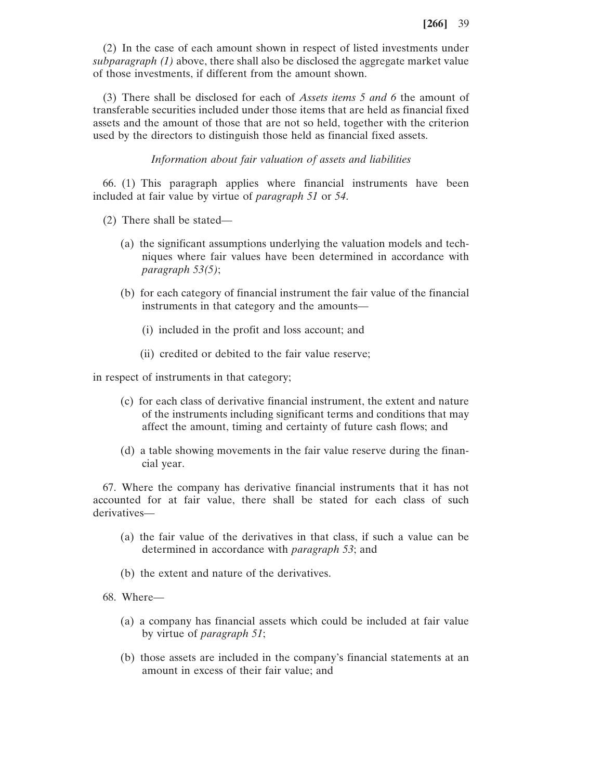(2) In the case of each amount shown in respect of listed investments under *subparagraph (1)* above, there shall also be disclosed the aggregate market value of those investments, if different from the amount shown.

(3) There shall be disclosed for each of *Assets items 5 and 6* the amount of transferable securities included under those items that are held as financial fixed assets and the amount of those that are not so held, together with the criterion used by the directors to distinguish those held as financial fixed assets.

## *Information about fair valuation of assets and liabilities*

66. (1) This paragraph applies where financial instruments have been included at fair value by virtue of *paragraph 51* or *54*.

- (2) There shall be stated—
	- (a) the significant assumptions underlying the valuation models and techniques where fair values have been determined in accordance with *paragraph 53(5)*;
	- (b) for each category of financial instrument the fair value of the financial instruments in that category and the amounts—
		- (i) included in the profit and loss account; and
		- (ii) credited or debited to the fair value reserve;

in respect of instruments in that category;

- (c) for each class of derivative financial instrument, the extent and nature of the instruments including significant terms and conditions that may affect the amount, timing and certainty of future cash flows; and
- (d) a table showing movements in the fair value reserve during the financial year.

67. Where the company has derivative financial instruments that it has not accounted for at fair value, there shall be stated for each class of such derivatives—

- (a) the fair value of the derivatives in that class, if such a value can be determined in accordance with *paragraph 53*; and
- (b) the extent and nature of the derivatives.
- 68. Where—
	- (a) a company has financial assets which could be included at fair value by virtue of *paragraph 51*;
	- (b) those assets are included in the company's financial statements at an amount in excess of their fair value; and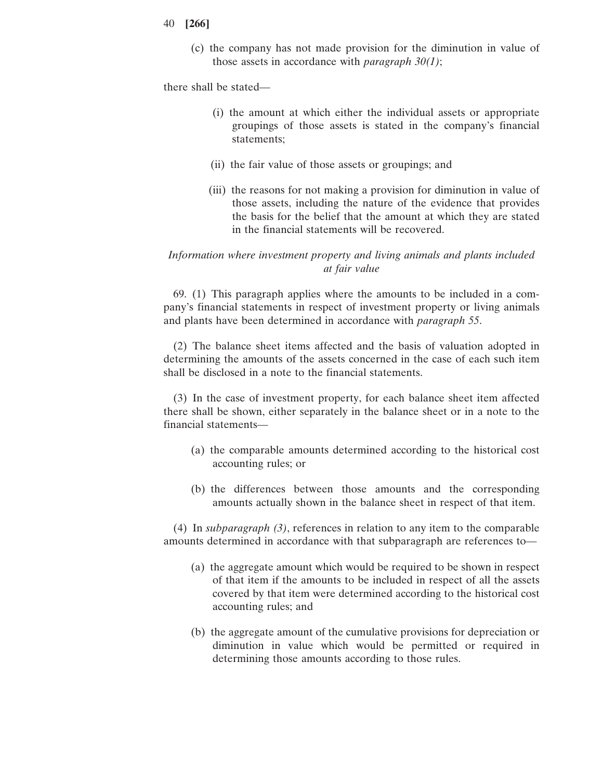- 40 **[266]**
	- (c) the company has not made provision for the diminution in value of those assets in accordance with *paragraph 30(1)*;

there shall be stated—

- (i) the amount at which either the individual assets or appropriate groupings of those assets is stated in the company's financial statements;
- (ii) the fair value of those assets or groupings; and
- (iii) the reasons for not making a provision for diminution in value of those assets, including the nature of the evidence that provides the basis for the belief that the amount at which they are stated in the financial statements will be recovered.

# *Information where investment property and living animals and plants included at fair value*

69. (1) This paragraph applies where the amounts to be included in a company's financial statements in respect of investment property or living animals and plants have been determined in accordance with *paragraph 55*.

(2) The balance sheet items affected and the basis of valuation adopted in determining the amounts of the assets concerned in the case of each such item shall be disclosed in a note to the financial statements.

(3) In the case of investment property, for each balance sheet item affected there shall be shown, either separately in the balance sheet or in a note to the financial statements—

- (a) the comparable amounts determined according to the historical cost accounting rules; or
- (b) the differences between those amounts and the corresponding amounts actually shown in the balance sheet in respect of that item.

(4) In *subparagraph (3)*, references in relation to any item to the comparable amounts determined in accordance with that subparagraph are references to—

- (a) the aggregate amount which would be required to be shown in respect of that item if the amounts to be included in respect of all the assets covered by that item were determined according to the historical cost accounting rules; and
- (b) the aggregate amount of the cumulative provisions for depreciation or diminution in value which would be permitted or required in determining those amounts according to those rules.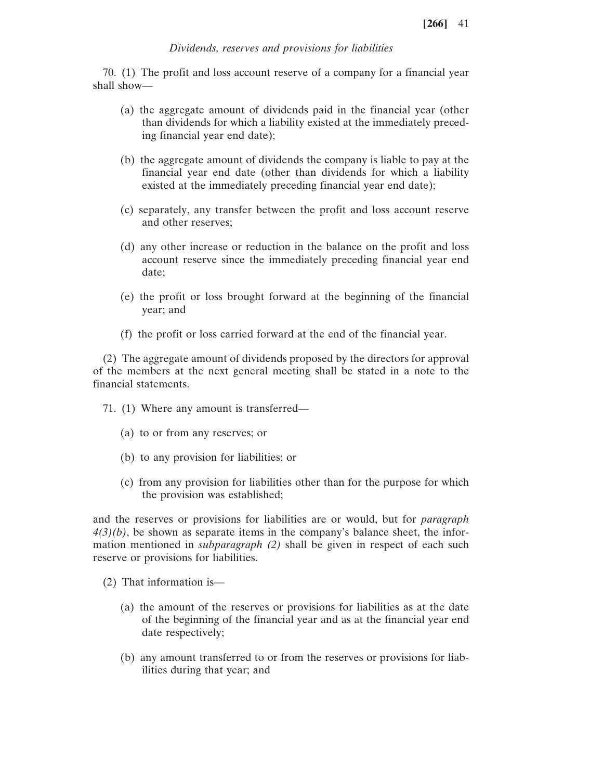# *Dividends, reserves and provisions for liabilities*

70. (1) The profit and loss account reserve of a company for a financial year shall show—

- (a) the aggregate amount of dividends paid in the financial year (other than dividends for which a liability existed at the immediately preceding financial year end date);
- (b) the aggregate amount of dividends the company is liable to pay at the financial year end date (other than dividends for which a liability existed at the immediately preceding financial year end date);
- (c) separately, any transfer between the profit and loss account reserve and other reserves;
- (d) any other increase or reduction in the balance on the profit and loss account reserve since the immediately preceding financial year end date;
- (e) the profit or loss brought forward at the beginning of the financial year; and
- (f) the profit or loss carried forward at the end of the financial year.

(2) The aggregate amount of dividends proposed by the directors for approval of the members at the next general meeting shall be stated in a note to the financial statements.

- 71. (1) Where any amount is transferred—
	- (a) to or from any reserves; or
	- (b) to any provision for liabilities; or
	- (c) from any provision for liabilities other than for the purpose for which the provision was established;

and the reserves or provisions for liabilities are or would, but for *paragraph*  $4(3)(b)$ , be shown as separate items in the company's balance sheet, the information mentioned in *subparagraph (2)* shall be given in respect of each such reserve or provisions for liabilities.

- (2) That information is—
	- (a) the amount of the reserves or provisions for liabilities as at the date of the beginning of the financial year and as at the financial year end date respectively;
	- (b) any amount transferred to or from the reserves or provisions for liabilities during that year; and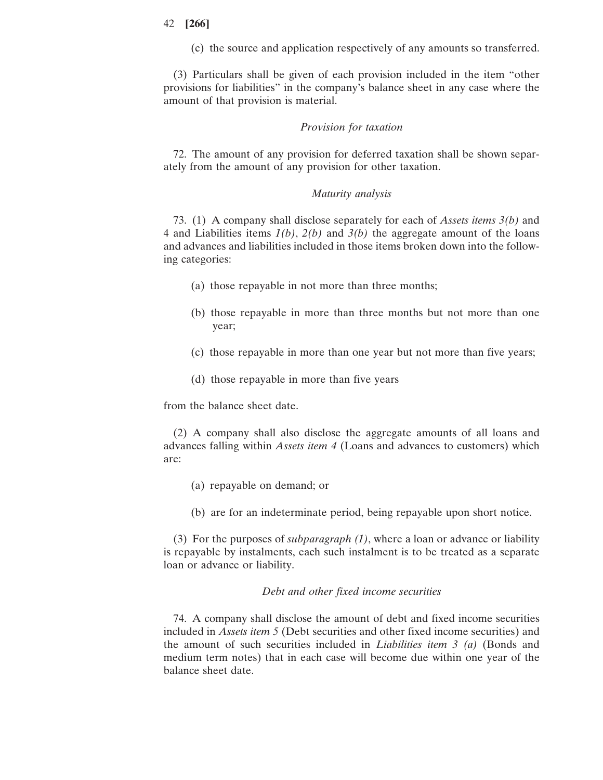(c) the source and application respectively of any amounts so transferred.

(3) Particulars shall be given of each provision included in the item "other provisions for liabilities" in the company's balance sheet in any case where the amount of that provision is material.

#### *Provision for taxation*

72. The amount of any provision for deferred taxation shall be shown separately from the amount of any provision for other taxation.

### *Maturity analysis*

73. (1) A company shall disclose separately for each of *Assets items 3(b)* and 4 and Liabilities items *1(b)*, *2(b)* and *3(b)* the aggregate amount of the loans and advances and liabilities included in those items broken down into the following categories:

- (a) those repayable in not more than three months;
- (b) those repayable in more than three months but not more than one year;
- (c) those repayable in more than one year but not more than five years;
- (d) those repayable in more than five years

from the balance sheet date.

(2) A company shall also disclose the aggregate amounts of all loans and advances falling within *Assets item 4* (Loans and advances to customers) which are:

- (a) repayable on demand; or
- (b) are for an indeterminate period, being repayable upon short notice.

(3) For the purposes of *subparagraph (1)*, where a loan or advance or liability is repayable by instalments, each such instalment is to be treated as a separate loan or advance or liability.

#### *Debt and other fixed income securities*

74. A company shall disclose the amount of debt and fixed income securities included in *Assets item 5* (Debt securities and other fixed income securities) and the amount of such securities included in *Liabilities item 3 (a)* (Bonds and medium term notes) that in each case will become due within one year of the balance sheet date.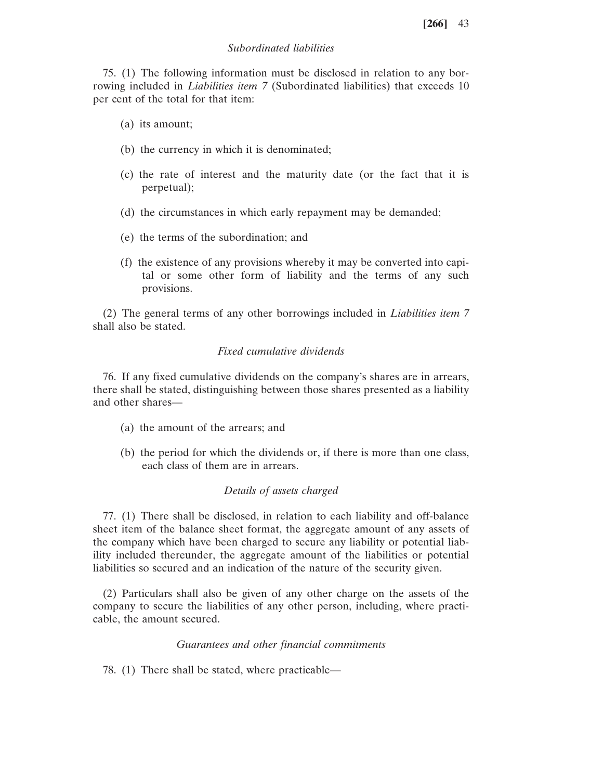## *Subordinated liabilities*

75. (1) The following information must be disclosed in relation to any borrowing included in *Liabilities item 7* (Subordinated liabilities) that exceeds 10 per cent of the total for that item:

- (a) its amount;
- (b) the currency in which it is denominated;
- (c) the rate of interest and the maturity date (or the fact that it is perpetual);
- (d) the circumstances in which early repayment may be demanded;
- (e) the terms of the subordination; and
- (f) the existence of any provisions whereby it may be converted into capital or some other form of liability and the terms of any such provisions.

(2) The general terms of any other borrowings included in *Liabilities item 7* shall also be stated.

## *Fixed cumulative dividends*

76. If any fixed cumulative dividends on the company's shares are in arrears, there shall be stated, distinguishing between those shares presented as a liability and other shares—

- (a) the amount of the arrears; and
- (b) the period for which the dividends or, if there is more than one class, each class of them are in arrears.

## *Details of assets charged*

77. (1) There shall be disclosed, in relation to each liability and off-balance sheet item of the balance sheet format, the aggregate amount of any assets of the company which have been charged to secure any liability or potential liability included thereunder, the aggregate amount of the liabilities or potential liabilities so secured and an indication of the nature of the security given.

(2) Particulars shall also be given of any other charge on the assets of the company to secure the liabilities of any other person, including, where practicable, the amount secured.

#### *Guarantees and other financial commitments*

78. (1) There shall be stated, where practicable—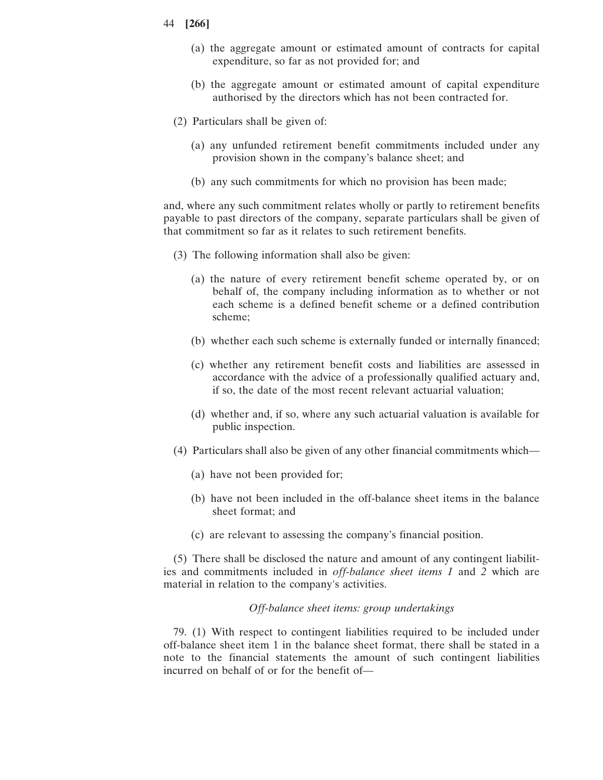- 44 **[266]**
	- (a) the aggregate amount or estimated amount of contracts for capital expenditure, so far as not provided for; and
	- (b) the aggregate amount or estimated amount of capital expenditure authorised by the directors which has not been contracted for.
	- (2) Particulars shall be given of:
		- (a) any unfunded retirement benefit commitments included under any provision shown in the company's balance sheet; and
		- (b) any such commitments for which no provision has been made;

and, where any such commitment relates wholly or partly to retirement benefits payable to past directors of the company, separate particulars shall be given of that commitment so far as it relates to such retirement benefits.

- (3) The following information shall also be given:
	- (a) the nature of every retirement benefit scheme operated by, or on behalf of, the company including information as to whether or not each scheme is a defined benefit scheme or a defined contribution scheme;
	- (b) whether each such scheme is externally funded or internally financed;
	- (c) whether any retirement benefit costs and liabilities are assessed in accordance with the advice of a professionally qualified actuary and, if so, the date of the most recent relevant actuarial valuation;
	- (d) whether and, if so, where any such actuarial valuation is available for public inspection.
- (4) Particulars shall also be given of any other financial commitments which—
	- (a) have not been provided for;
	- (b) have not been included in the off-balance sheet items in the balance sheet format; and
	- (c) are relevant to assessing the company's financial position.

(5) There shall be disclosed the nature and amount of any contingent liabilities and commitments included in *off-balance sheet items 1* and *2* which are material in relation to the company's activities.

### *Off-balance sheet items: group undertakings*

79. (1) With respect to contingent liabilities required to be included under off-balance sheet item 1 in the balance sheet format, there shall be stated in a note to the financial statements the amount of such contingent liabilities incurred on behalf of or for the benefit of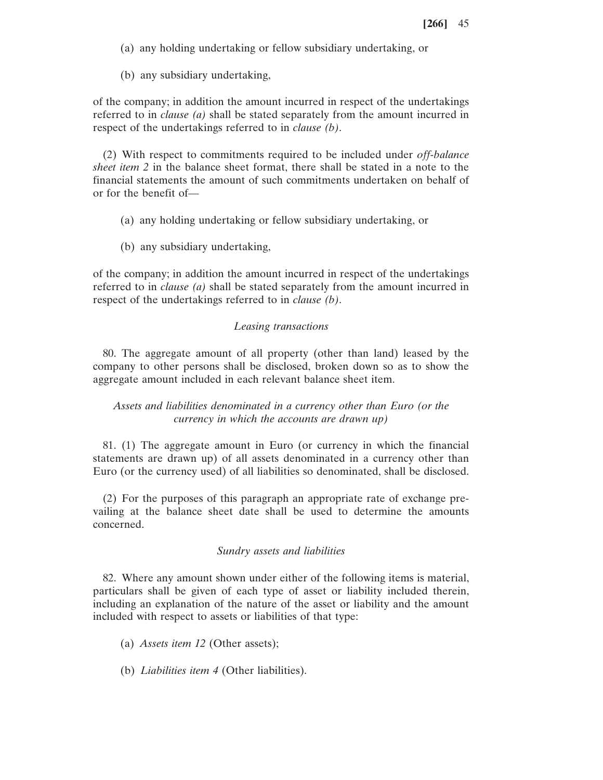(a) any holding undertaking or fellow subsidiary undertaking, or

(b) any subsidiary undertaking,

of the company; in addition the amount incurred in respect of the undertakings referred to in *clause (a)* shall be stated separately from the amount incurred in respect of the undertakings referred to in *clause (b)*.

(2) With respect to commitments required to be included under *off-balance sheet item 2* in the balance sheet format, there shall be stated in a note to the financial statements the amount of such commitments undertaken on behalf of or for the benefit of—

- (a) any holding undertaking or fellow subsidiary undertaking, or
- (b) any subsidiary undertaking,

of the company; in addition the amount incurred in respect of the undertakings referred to in *clause (a)* shall be stated separately from the amount incurred in respect of the undertakings referred to in *clause (b)*.

## *Leasing transactions*

80. The aggregate amount of all property (other than land) leased by the company to other persons shall be disclosed, broken down so as to show the aggregate amount included in each relevant balance sheet item.

# *Assets and liabilities denominated in a currency other than Euro (or the currency in which the accounts are drawn up)*

81. (1) The aggregate amount in Euro (or currency in which the financial statements are drawn up) of all assets denominated in a currency other than Euro (or the currency used) of all liabilities so denominated, shall be disclosed.

(2) For the purposes of this paragraph an appropriate rate of exchange prevailing at the balance sheet date shall be used to determine the amounts concerned.

## *Sundry assets and liabilities*

82. Where any amount shown under either of the following items is material, particulars shall be given of each type of asset or liability included therein, including an explanation of the nature of the asset or liability and the amount included with respect to assets or liabilities of that type:

- (a) *Assets item 12* (Other assets);
- (b) *Liabilities item 4* (Other liabilities).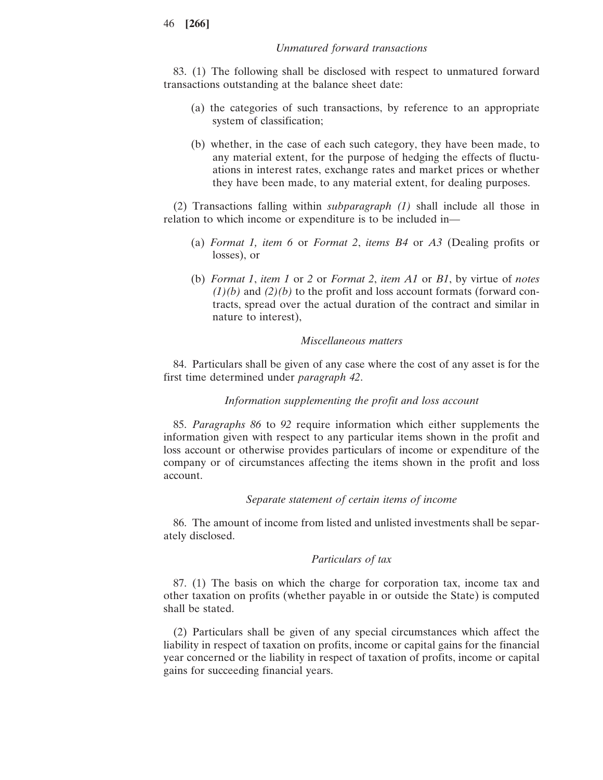### *Unmatured forward transactions*

83. (1) The following shall be disclosed with respect to unmatured forward transactions outstanding at the balance sheet date:

- (a) the categories of such transactions, by reference to an appropriate system of classification;
- (b) whether, in the case of each such category, they have been made, to any material extent, for the purpose of hedging the effects of fluctuations in interest rates, exchange rates and market prices or whether they have been made, to any material extent, for dealing purposes.

(2) Transactions falling within *subparagraph (1)* shall include all those in relation to which income or expenditure is to be included in—

- (a) *Format 1, item 6* or *Format 2*, *items B4* or *A3* (Dealing profits or losses), or
- (b) *Format 1*, *item 1* or *2* or *Format 2*, *item A1* or *B1*, by virtue of *notes (1)(b)* and *(2)(b)* to the profit and loss account formats (forward contracts, spread over the actual duration of the contract and similar in nature to interest),

## *Miscellaneous matters*

84. Particulars shall be given of any case where the cost of any asset is for the first time determined under *paragraph 42*.

## *Information supplementing the profit and loss account*

85. *Paragraphs 86* to *92* require information which either supplements the information given with respect to any particular items shown in the profit and loss account or otherwise provides particulars of income or expenditure of the company or of circumstances affecting the items shown in the profit and loss account.

#### *Separate statement of certain items of income*

86. The amount of income from listed and unlisted investments shall be separately disclosed.

#### *Particulars of tax*

87. (1) The basis on which the charge for corporation tax, income tax and other taxation on profits (whether payable in or outside the State) is computed shall be stated.

(2) Particulars shall be given of any special circumstances which affect the liability in respect of taxation on profits, income or capital gains for the financial year concerned or the liability in respect of taxation of profits, income or capital gains for succeeding financial years.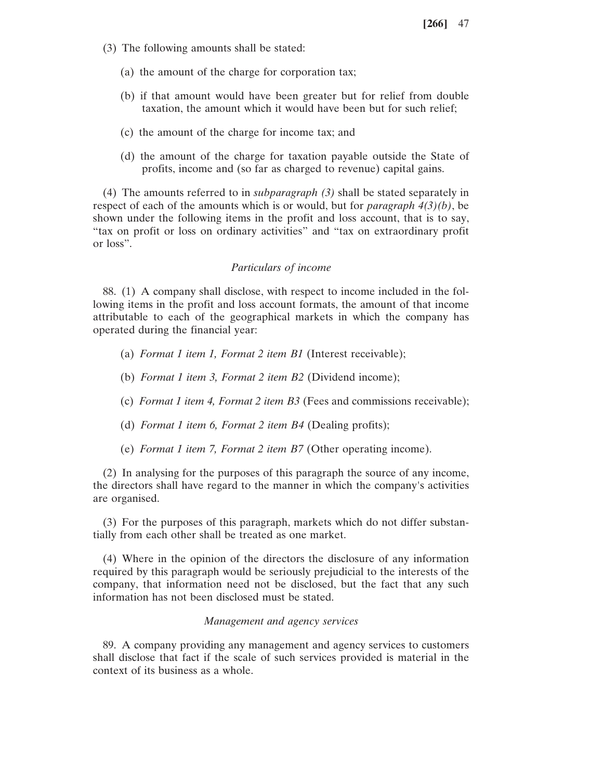- (3) The following amounts shall be stated:
	- (a) the amount of the charge for corporation tax;
	- (b) if that amount would have been greater but for relief from double taxation, the amount which it would have been but for such relief;
	- (c) the amount of the charge for income tax; and
	- (d) the amount of the charge for taxation payable outside the State of profits, income and (so far as charged to revenue) capital gains.

(4) The amounts referred to in *subparagraph (3)* shall be stated separately in respect of each of the amounts which is or would, but for *paragraph 4(3)(b)*, be shown under the following items in the profit and loss account, that is to say, "tax on profit or loss on ordinary activities" and "tax on extraordinary profit or loss".

## *Particulars of income*

88. (1) A company shall disclose, with respect to income included in the following items in the profit and loss account formats, the amount of that income attributable to each of the geographical markets in which the company has operated during the financial year:

- (a) *Format 1 item 1, Format 2 item B1* (Interest receivable);
- (b) *Format 1 item 3, Format 2 item B2* (Dividend income);
- (c) *Format 1 item 4, Format 2 item B3* (Fees and commissions receivable);
- (d) *Format 1 item 6, Format 2 item B4* (Dealing profits);
- (e) *Format 1 item 7, Format 2 item B7* (Other operating income).

(2) In analysing for the purposes of this paragraph the source of any income, the directors shall have regard to the manner in which the company's activities are organised.

(3) For the purposes of this paragraph, markets which do not differ substantially from each other shall be treated as one market.

(4) Where in the opinion of the directors the disclosure of any information required by this paragraph would be seriously prejudicial to the interests of the company, that information need not be disclosed, but the fact that any such information has not been disclosed must be stated.

#### *Management and agency services*

89. A company providing any management and agency services to customers shall disclose that fact if the scale of such services provided is material in the context of its business as a whole.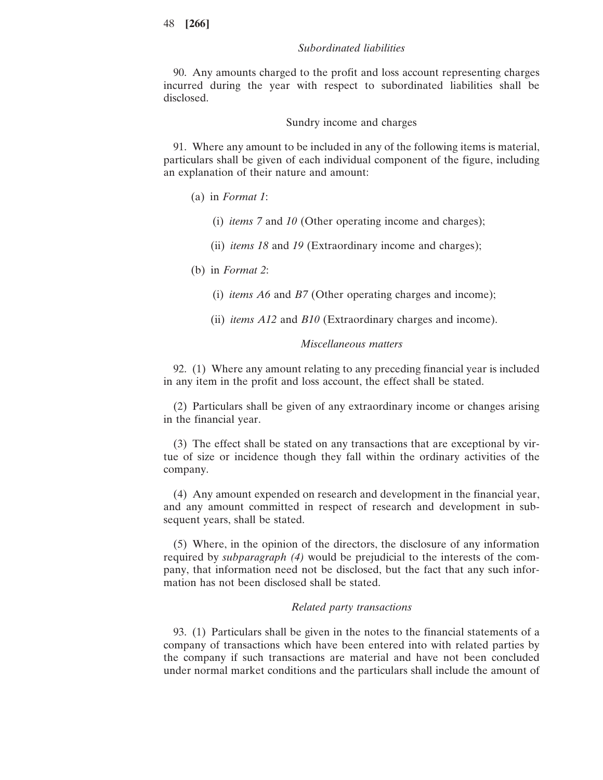## *Subordinated liabilities*

90. Any amounts charged to the profit and loss account representing charges incurred during the year with respect to subordinated liabilities shall be disclosed.

Sundry income and charges

91. Where any amount to be included in any of the following items is material, particulars shall be given of each individual component of the figure, including an explanation of their nature and amount:

(a) in *Format 1*:

- (i) *items 7* and *10* (Other operating income and charges);
- (ii) *items 18* and *19* (Extraordinary income and charges);

(b) in *Format 2*:

- (i) *items A6* and *B7* (Other operating charges and income);
- (ii) *items A12* and *B10* (Extraordinary charges and income).

## *Miscellaneous matters*

92. (1) Where any amount relating to any preceding financial year is included in any item in the profit and loss account, the effect shall be stated.

(2) Particulars shall be given of any extraordinary income or changes arising in the financial year.

(3) The effect shall be stated on any transactions that are exceptional by virtue of size or incidence though they fall within the ordinary activities of the company.

(4) Any amount expended on research and development in the financial year, and any amount committed in respect of research and development in subsequent years, shall be stated.

(5) Where, in the opinion of the directors, the disclosure of any information required by *subparagraph (4)* would be prejudicial to the interests of the company, that information need not be disclosed, but the fact that any such information has not been disclosed shall be stated.

#### *Related party transactions*

93. (1) Particulars shall be given in the notes to the financial statements of a company of transactions which have been entered into with related parties by the company if such transactions are material and have not been concluded under normal market conditions and the particulars shall include the amount of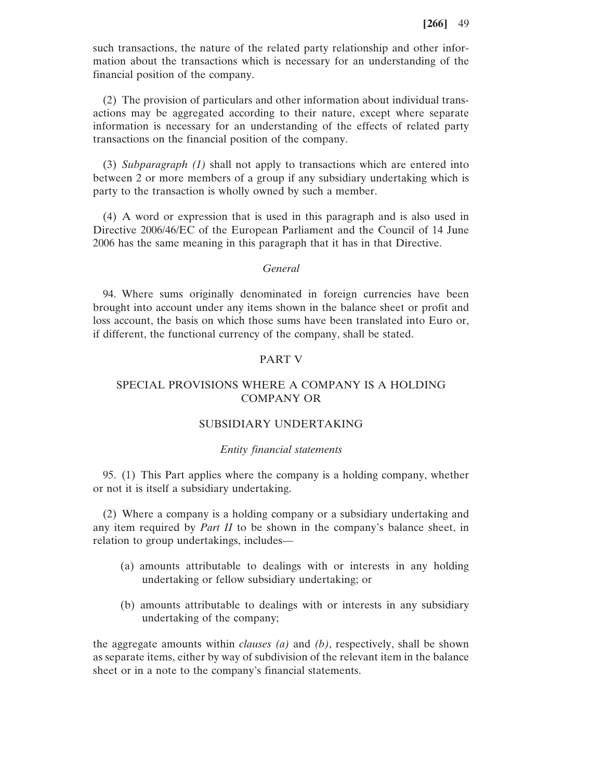such transactions, the nature of the related party relationship and other information about the transactions which is necessary for an understanding of the financial position of the company.

(2) The provision of particulars and other information about individual transactions may be aggregated according to their nature, except where separate information is necessary for an understanding of the effects of related party transactions on the financial position of the company.

(3) *Subparagraph (1)* shall not apply to transactions which are entered into between 2 or more members of a group if any subsidiary undertaking which is party to the transaction is wholly owned by such a member.

(4) A word or expression that is used in this paragraph and is also used in Directive 2006/46/EC of the European Parliament and the Council of 14 June 2006 has the same meaning in this paragraph that it has in that Directive.

## *General*

94. Where sums originally denominated in foreign currencies have been brought into account under any items shown in the balance sheet or profit and loss account, the basis on which those sums have been translated into Euro or, if different, the functional currency of the company, shall be stated.

## PART V

# SPECIAL PROVISIONS WHERE A COMPANY IS A HOLDING COMPANY OR

### SUBSIDIARY UNDERTAKING

## *Entity financial statements*

95. (1) This Part applies where the company is a holding company, whether or not it is itself a subsidiary undertaking.

(2) Where a company is a holding company or a subsidiary undertaking and any item required by *Part II* to be shown in the company's balance sheet, in relation to group undertakings, includes—

- (a) amounts attributable to dealings with or interests in any holding undertaking or fellow subsidiary undertaking; or
- (b) amounts attributable to dealings with or interests in any subsidiary undertaking of the company;

the aggregate amounts within *clauses (a)* and *(b)*, respectively, shall be shown as separate items, either by way of subdivision of the relevant item in the balance sheet or in a note to the company's financial statements.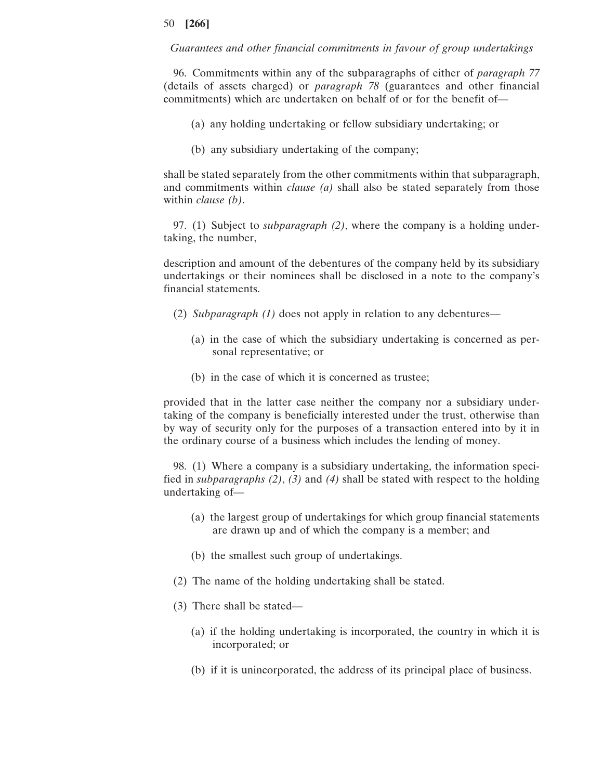*Guarantees and other financial commitments in favour of group undertakings*

96. Commitments within any of the subparagraphs of either of *paragraph 77* (details of assets charged) or *paragraph 78* (guarantees and other financial commitments) which are undertaken on behalf of or for the benefit of—

- (a) any holding undertaking or fellow subsidiary undertaking; or
- (b) any subsidiary undertaking of the company;

shall be stated separately from the other commitments within that subparagraph, and commitments within *clause (a)* shall also be stated separately from those within *clause (b)*.

97. (1) Subject to *subparagraph (2)*, where the company is a holding undertaking, the number,

description and amount of the debentures of the company held by its subsidiary undertakings or their nominees shall be disclosed in a note to the company's financial statements.

- (2) *Subparagraph (1)* does not apply in relation to any debentures—
	- (a) in the case of which the subsidiary undertaking is concerned as personal representative; or
	- (b) in the case of which it is concerned as trustee;

provided that in the latter case neither the company nor a subsidiary undertaking of the company is beneficially interested under the trust, otherwise than by way of security only for the purposes of a transaction entered into by it in the ordinary course of a business which includes the lending of money.

98. (1) Where a company is a subsidiary undertaking, the information specified in *subparagraphs (2)*, *(3)* and *(4)* shall be stated with respect to the holding undertaking of—

- (a) the largest group of undertakings for which group financial statements are drawn up and of which the company is a member; and
- (b) the smallest such group of undertakings.
- (2) The name of the holding undertaking shall be stated.
- (3) There shall be stated—
	- (a) if the holding undertaking is incorporated, the country in which it is incorporated; or
	- (b) if it is unincorporated, the address of its principal place of business.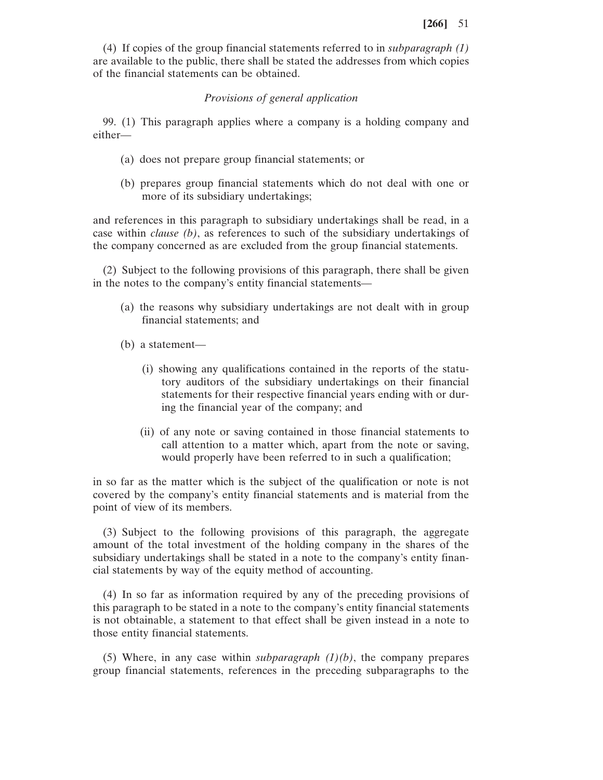(4) If copies of the group financial statements referred to in *subparagraph (1)* are available to the public, there shall be stated the addresses from which copies of the financial statements can be obtained.

## *Provisions of general application*

99. (1) This paragraph applies where a company is a holding company and either—

- (a) does not prepare group financial statements; or
- (b) prepares group financial statements which do not deal with one or more of its subsidiary undertakings;

and references in this paragraph to subsidiary undertakings shall be read, in a case within *clause (b)*, as references to such of the subsidiary undertakings of the company concerned as are excluded from the group financial statements.

(2) Subject to the following provisions of this paragraph, there shall be given in the notes to the company's entity financial statements—

- (a) the reasons why subsidiary undertakings are not dealt with in group financial statements; and
- (b) a statement—
	- (i) showing any qualifications contained in the reports of the statutory auditors of the subsidiary undertakings on their financial statements for their respective financial years ending with or during the financial year of the company; and
	- (ii) of any note or saving contained in those financial statements to call attention to a matter which, apart from the note or saving, would properly have been referred to in such a qualification;

in so far as the matter which is the subject of the qualification or note is not covered by the company's entity financial statements and is material from the point of view of its members.

(3) Subject to the following provisions of this paragraph, the aggregate amount of the total investment of the holding company in the shares of the subsidiary undertakings shall be stated in a note to the company's entity financial statements by way of the equity method of accounting.

(4) In so far as information required by any of the preceding provisions of this paragraph to be stated in a note to the company's entity financial statements is not obtainable, a statement to that effect shall be given instead in a note to those entity financial statements.

(5) Where, in any case within *subparagraph (1)(b)*, the company prepares group financial statements, references in the preceding subparagraphs to the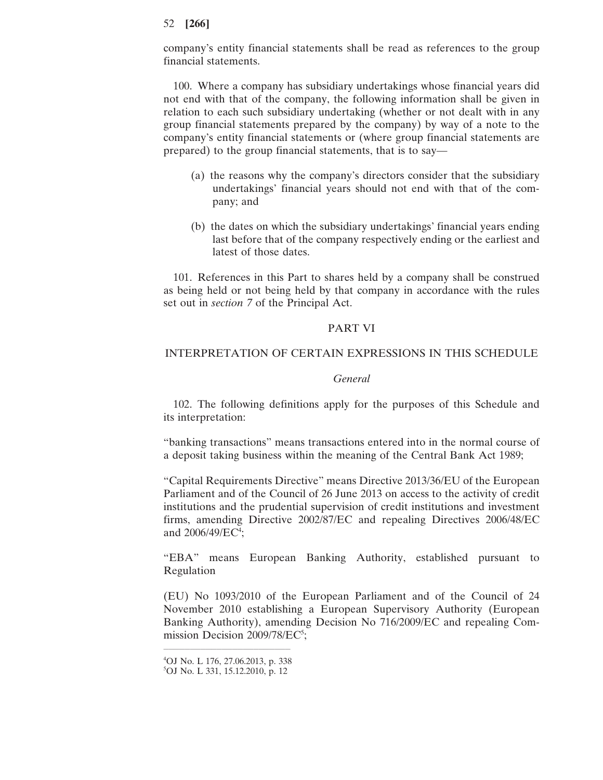company's entity financial statements shall be read as references to the group financial statements.

100. Where a company has subsidiary undertakings whose financial years did not end with that of the company, the following information shall be given in relation to each such subsidiary undertaking (whether or not dealt with in any group financial statements prepared by the company) by way of a note to the company's entity financial statements or (where group financial statements are prepared) to the group financial statements, that is to say—

- (a) the reasons why the company's directors consider that the subsidiary undertakings' financial years should not end with that of the company; and
- (b) the dates on which the subsidiary undertakings' financial years ending last before that of the company respectively ending or the earliest and latest of those dates.

101. References in this Part to shares held by a company shall be construed as being held or not being held by that company in accordance with the rules set out in *section 7* of the Principal Act.

## PART VI

#### INTERPRETATION OF CERTAIN EXPRESSIONS IN THIS SCHEDULE

#### *General*

102. The following definitions apply for the purposes of this Schedule and its interpretation:

"banking transactions" means transactions entered into in the normal course of a deposit taking business within the meaning of the Central Bank Act 1989;

"Capital Requirements Directive" means Directive 2013/36/EU of the European Parliament and of the Council of 26 June 2013 on access to the activity of credit institutions and the prudential supervision of credit institutions and investment firms, amending Directive 2002/87/EC and repealing Directives 2006/48/EC and  $2006/49$ /EC<sup>4</sup>;

"EBA" means European Banking Authority, established pursuant to Regulation

(EU) No 1093/2010 of the European Parliament and of the Council of 24 November 2010 establishing a European Supervisory Authority (European Banking Authority), amending Decision No 716/2009/EC and repealing Commission Decision 2009/78/EC<sup>5</sup>;

 $\mathcal{L}=\{1,2,3,4\}$  , we can assume that the contract of  $\mathcal{L}=\{1,2,3,4\}$ 4 OJ No. L 176, 27.06.2013, p. 338 5 OJ No. L 331, 15.12.2010, p. 12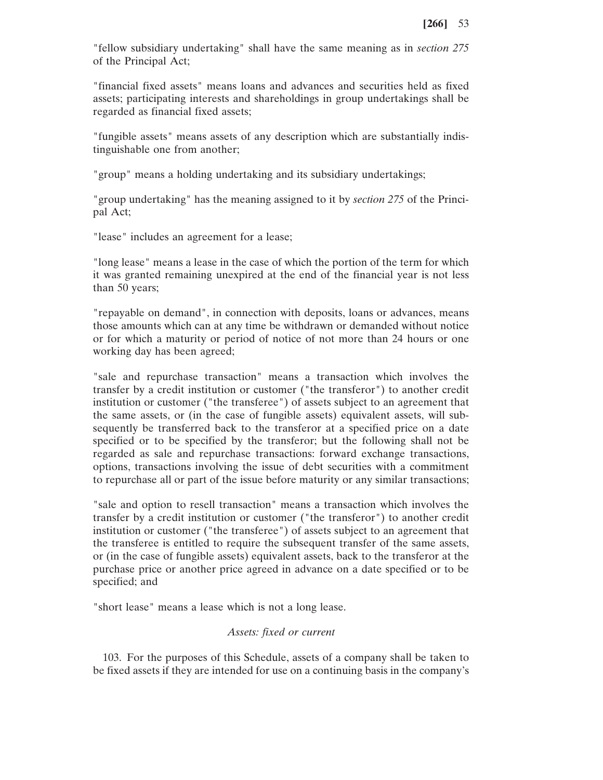"fellow subsidiary undertaking" shall have the same meaning as in *section 275* of the Principal Act;

"financial fixed assets" means loans and advances and securities held as fixed assets; participating interests and shareholdings in group undertakings shall be regarded as financial fixed assets;

"fungible assets" means assets of any description which are substantially indistinguishable one from another;

"group" means a holding undertaking and its subsidiary undertakings;

"group undertaking" has the meaning assigned to it by *section 275* of the Principal Act;

"lease" includes an agreement for a lease;

"long lease" means a lease in the case of which the portion of the term for which it was granted remaining unexpired at the end of the financial year is not less than 50 years;

"repayable on demand", in connection with deposits, loans or advances, means those amounts which can at any time be withdrawn or demanded without notice or for which a maturity or period of notice of not more than 24 hours or one working day has been agreed;

"sale and repurchase transaction" means a transaction which involves the transfer by a credit institution or customer ("the transferor") to another credit institution or customer ("the transferee") of assets subject to an agreement that the same assets, or (in the case of fungible assets) equivalent assets, will subsequently be transferred back to the transferor at a specified price on a date specified or to be specified by the transferor; but the following shall not be regarded as sale and repurchase transactions: forward exchange transactions, options, transactions involving the issue of debt securities with a commitment to repurchase all or part of the issue before maturity or any similar transactions;

"sale and option to resell transaction" means a transaction which involves the transfer by a credit institution or customer ("the transferor") to another credit institution or customer ("the transferee") of assets subject to an agreement that the transferee is entitled to require the subsequent transfer of the same assets, or (in the case of fungible assets) equivalent assets, back to the transferor at the purchase price or another price agreed in advance on a date specified or to be specified; and

"short lease" means a lease which is not a long lease.

### *Assets: fixed or current*

103. For the purposes of this Schedule, assets of a company shall be taken to be fixed assets if they are intended for use on a continuing basis in the company's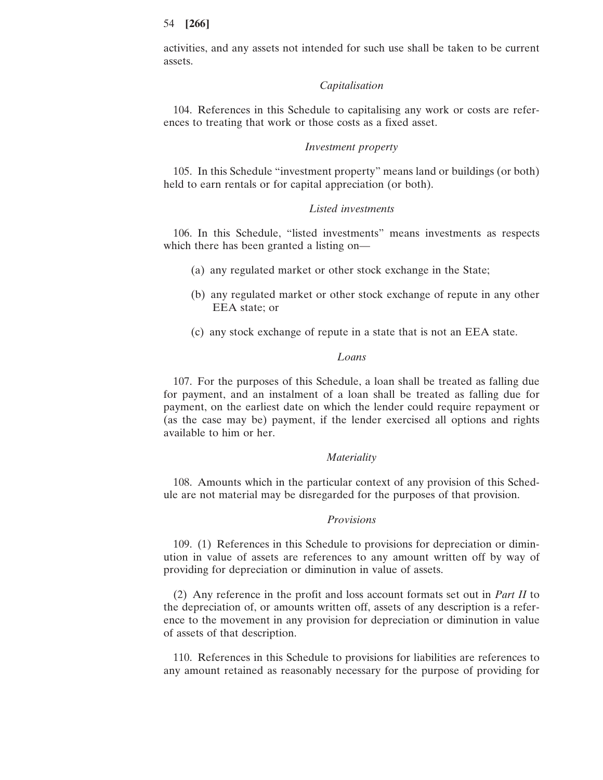activities, and any assets not intended for such use shall be taken to be current assets.

#### *Capitalisation*

104. References in this Schedule to capitalising any work or costs are references to treating that work or those costs as a fixed asset.

#### *Investment property*

105. In this Schedule "investment property" means land or buildings (or both) held to earn rentals or for capital appreciation (or both).

## *Listed investments*

106. In this Schedule, "listed investments" means investments as respects which there has been granted a listing on—

- (a) any regulated market or other stock exchange in the State;
- (b) any regulated market or other stock exchange of repute in any other EEA state; or
- (c) any stock exchange of repute in a state that is not an EEA state.

## *Loans*

107. For the purposes of this Schedule, a loan shall be treated as falling due for payment, and an instalment of a loan shall be treated as falling due for payment, on the earliest date on which the lender could require repayment or (as the case may be) payment, if the lender exercised all options and rights available to him or her.

#### *Materiality*

108. Amounts which in the particular context of any provision of this Schedule are not material may be disregarded for the purposes of that provision.

#### *Provisions*

109. (1) References in this Schedule to provisions for depreciation or diminution in value of assets are references to any amount written off by way of providing for depreciation or diminution in value of assets.

(2) Any reference in the profit and loss account formats set out in *Part II* to the depreciation of, or amounts written off, assets of any description is a reference to the movement in any provision for depreciation or diminution in value of assets of that description.

110. References in this Schedule to provisions for liabilities are references to any amount retained as reasonably necessary for the purpose of providing for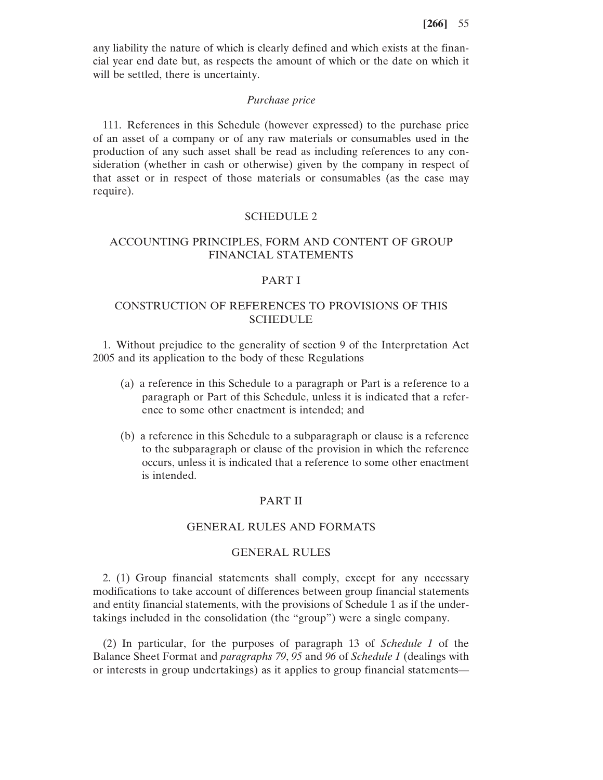any liability the nature of which is clearly defined and which exists at the financial year end date but, as respects the amount of which or the date on which it will be settled, there is uncertainty.

## *Purchase price*

111. References in this Schedule (however expressed) to the purchase price of an asset of a company or of any raw materials or consumables used in the production of any such asset shall be read as including references to any consideration (whether in cash or otherwise) given by the company in respect of that asset or in respect of those materials or consumables (as the case may require).

## SCHEDULE 2

# ACCOUNTING PRINCIPLES, FORM AND CONTENT OF GROUP FINANCIAL STATEMENTS

#### PART I

# CONSTRUCTION OF REFERENCES TO PROVISIONS OF THIS SCHEDULE

1. Without prejudice to the generality of section 9 of the Interpretation Act 2005 and its application to the body of these Regulations

- (a) a reference in this Schedule to a paragraph or Part is a reference to a paragraph or Part of this Schedule, unless it is indicated that a reference to some other enactment is intended; and
- (b) a reference in this Schedule to a subparagraph or clause is a reference to the subparagraph or clause of the provision in which the reference occurs, unless it is indicated that a reference to some other enactment is intended.

## PART II

## GENERAL RULES AND FORMATS

## GENERAL RULES

2. (1) Group financial statements shall comply, except for any necessary modifications to take account of differences between group financial statements and entity financial statements, with the provisions of Schedule 1 as if the undertakings included in the consolidation (the "group") were a single company.

(2) In particular, for the purposes of paragraph 13 of *Schedule 1* of the Balance Sheet Format and *paragraphs 79*, *95* and *96* of *Schedule 1* (dealings with or interests in group undertakings) as it applies to group financial statements—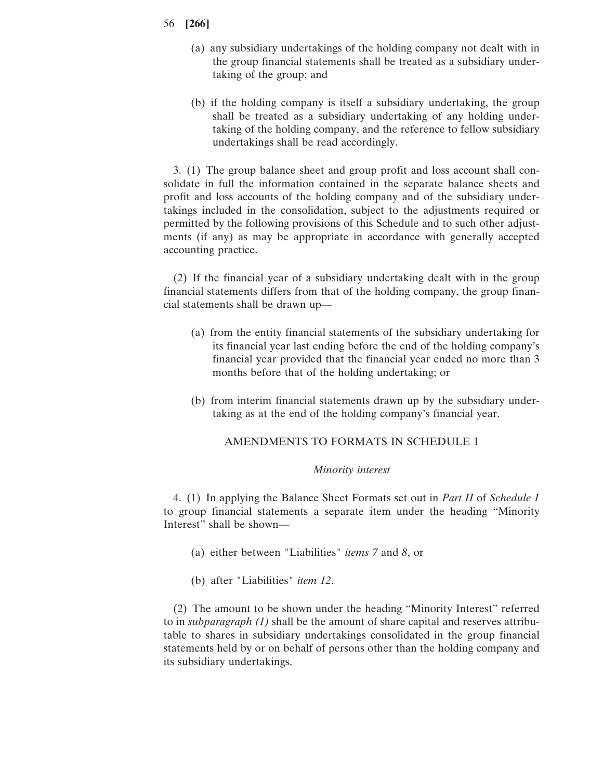- (a) any subsidiary undertakings of the holding company not dealt with in the group financial statements shall be treated as a subsidiary undertaking of the group; and
- (b) if the holding company is itself a subsidiary undertaking, the group shall be treated as a subsidiary undertaking of any holding undertaking of the holding company, and the reference to fellow subsidiary undertakings shall be read accordingly.

3. (1) The group balance sheet and group profit and loss account shall consolidate in full the information contained in the separate balance sheets and profit and loss accounts of the holding company and of the subsidiary undertakings included in the consolidation, subject to the adjustments required or permitted by the following provisions of this Schedule and to such other adjustments (if any) as may be appropriate in accordance with generally accepted accounting practice.

(2) If the financial year of a subsidiary undertaking dealt with in the group financial statements differs from that of the holding company, the group financial statements shall be drawn up—

- (a) from the entity financial statements of the subsidiary undertaking for its financial year last ending before the end of the holding company's financial year provided that the financial year ended no more than 3 months before that of the holding undertaking; or
- (b) from interim financial statements drawn up by the subsidiary undertaking as at the end of the holding company's financial year.

## AMENDMENTS TO FORMATS IN SCHEDULE 1

#### *Minority interest*

4. (1) In applying the Balance Sheet Formats set out in *Part II* of *Schedule 1* to group financial statements a separate item under the heading "Minority Interest" shall be shown—

- (a) either between "Liabilities" *items 7* and *8*, or
- (b) after "Liabilities" *item 12*.

(2) The amount to be shown under the heading "Minority Interest" referred to in *subparagraph (1)* shall be the amount of share capital and reserves attributable to shares in subsidiary undertakings consolidated in the group financial statements held by or on behalf of persons other than the holding company and its subsidiary undertakings.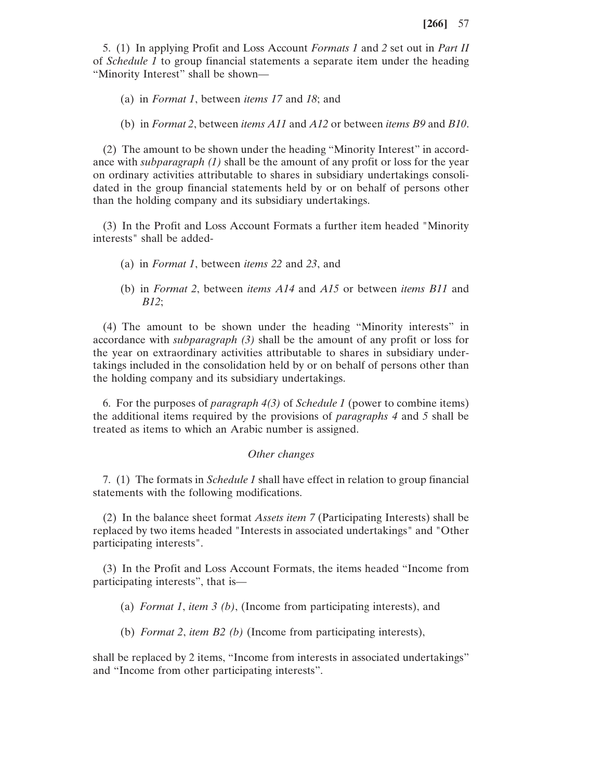5. (1) In applying Profit and Loss Account *Formats 1* and *2* set out in *Part II* of *Schedule 1* to group financial statements a separate item under the heading "Minority Interest" shall be shown—

- (a) in *Format 1*, between *items 17* and *18*; and
- (b) in *Format 2*, between *items A11* and *A12* or between *items B9* and *B10*.

(2) The amount to be shown under the heading "Minority Interest" in accordance with *subparagraph (1)* shall be the amount of any profit or loss for the year on ordinary activities attributable to shares in subsidiary undertakings consolidated in the group financial statements held by or on behalf of persons other than the holding company and its subsidiary undertakings.

(3) In the Profit and Loss Account Formats a further item headed "Minority interests" shall be added-

- (a) in *Format 1*, between *items 22* and *23*, and
- (b) in *Format 2*, between *items A14* and *A15* or between *items B11* and *B12*;

(4) The amount to be shown under the heading "Minority interests" in accordance with *subparagraph (3)* shall be the amount of any profit or loss for the year on extraordinary activities attributable to shares in subsidiary undertakings included in the consolidation held by or on behalf of persons other than the holding company and its subsidiary undertakings.

6. For the purposes of *paragraph 4(3)* of *Schedule 1* (power to combine items) the additional items required by the provisions of *paragraphs 4* and *5* shall be treated as items to which an Arabic number is assigned.

### *Other changes*

7. (1) The formats in *Schedule 1* shall have effect in relation to group financial statements with the following modifications.

(2) In the balance sheet format *Assets item 7* (Participating Interests) shall be replaced by two items headed "Interests in associated undertakings" and "Other participating interests".

(3) In the Profit and Loss Account Formats, the items headed "Income from participating interests", that is—

(a) *Format 1*, *item 3 (b)*, (Income from participating interests), and

(b) *Format 2*, *item B2 (b)* (Income from participating interests),

shall be replaced by 2 items, "Income from interests in associated undertakings" and "Income from other participating interests".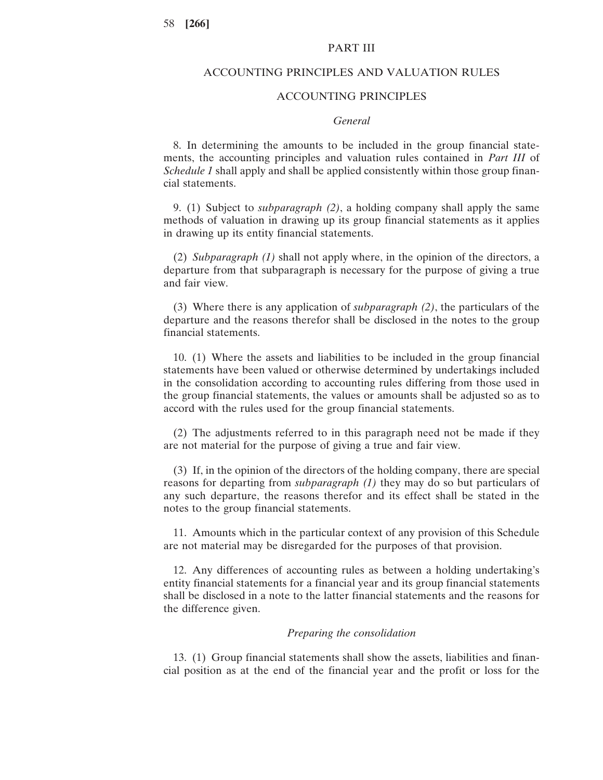## PART III

#### ACCOUNTING PRINCIPLES AND VALUATION RULES

## ACCOUNTING PRINCIPLES

#### *General*

8. In determining the amounts to be included in the group financial statements, the accounting principles and valuation rules contained in *Part III* of *Schedule 1* shall apply and shall be applied consistently within those group financial statements.

9. (1) Subject to *subparagraph (2)*, a holding company shall apply the same methods of valuation in drawing up its group financial statements as it applies in drawing up its entity financial statements.

(2) *Subparagraph (1)* shall not apply where, in the opinion of the directors, a departure from that subparagraph is necessary for the purpose of giving a true and fair view.

(3) Where there is any application of *subparagraph (2)*, the particulars of the departure and the reasons therefor shall be disclosed in the notes to the group financial statements.

10. (1) Where the assets and liabilities to be included in the group financial statements have been valued or otherwise determined by undertakings included in the consolidation according to accounting rules differing from those used in the group financial statements, the values or amounts shall be adjusted so as to accord with the rules used for the group financial statements.

(2) The adjustments referred to in this paragraph need not be made if they are not material for the purpose of giving a true and fair view.

(3) If, in the opinion of the directors of the holding company, there are special reasons for departing from *subparagraph (1)* they may do so but particulars of any such departure, the reasons therefor and its effect shall be stated in the notes to the group financial statements.

11. Amounts which in the particular context of any provision of this Schedule are not material may be disregarded for the purposes of that provision.

12. Any differences of accounting rules as between a holding undertaking's entity financial statements for a financial year and its group financial statements shall be disclosed in a note to the latter financial statements and the reasons for the difference given.

## *Preparing the consolidation*

13. (1) Group financial statements shall show the assets, liabilities and financial position as at the end of the financial year and the profit or loss for the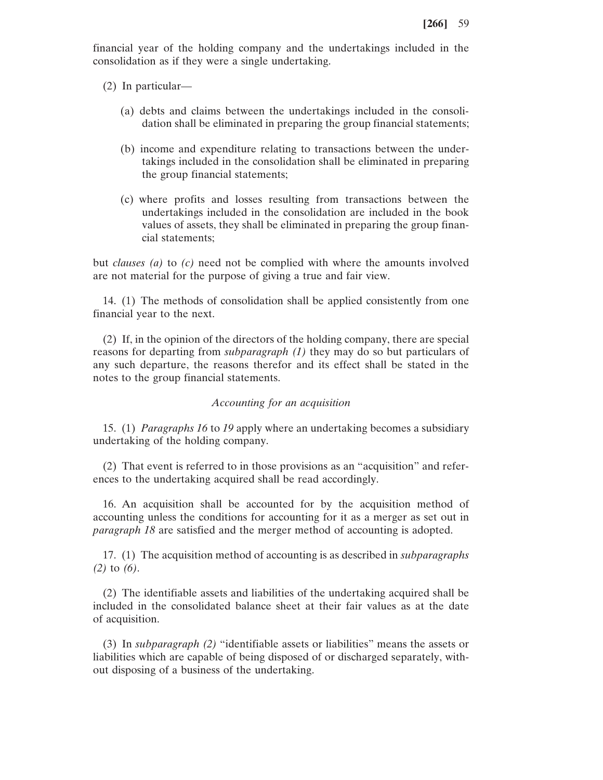financial year of the holding company and the undertakings included in the consolidation as if they were a single undertaking.

(2) In particular—

- (a) debts and claims between the undertakings included in the consolidation shall be eliminated in preparing the group financial statements;
- (b) income and expenditure relating to transactions between the undertakings included in the consolidation shall be eliminated in preparing the group financial statements;
- (c) where profits and losses resulting from transactions between the undertakings included in the consolidation are included in the book values of assets, they shall be eliminated in preparing the group financial statements;

but *clauses (a)* to *(c)* need not be complied with where the amounts involved are not material for the purpose of giving a true and fair view.

14. (1) The methods of consolidation shall be applied consistently from one financial year to the next.

(2) If, in the opinion of the directors of the holding company, there are special reasons for departing from *subparagraph (1)* they may do so but particulars of any such departure, the reasons therefor and its effect shall be stated in the notes to the group financial statements.

## *Accounting for an acquisition*

15. (1) *Paragraphs 16* to *19* apply where an undertaking becomes a subsidiary undertaking of the holding company.

(2) That event is referred to in those provisions as an "acquisition" and references to the undertaking acquired shall be read accordingly.

16. An acquisition shall be accounted for by the acquisition method of accounting unless the conditions for accounting for it as a merger as set out in *paragraph 18* are satisfied and the merger method of accounting is adopted.

17. (1) The acquisition method of accounting is as described in *subparagraphs (2)* to *(6)*.

(2) The identifiable assets and liabilities of the undertaking acquired shall be included in the consolidated balance sheet at their fair values as at the date of acquisition.

(3) In *subparagraph (2)* "identifiable assets or liabilities" means the assets or liabilities which are capable of being disposed of or discharged separately, without disposing of a business of the undertaking.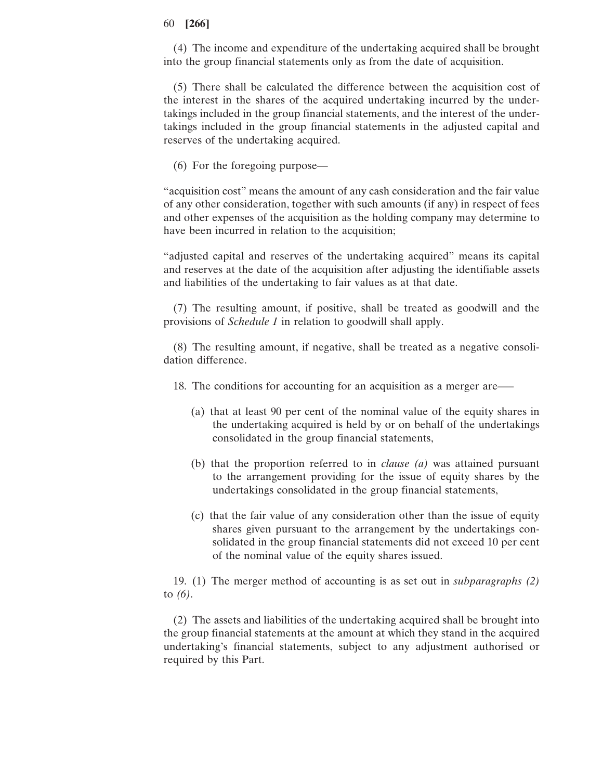(4) The income and expenditure of the undertaking acquired shall be brought into the group financial statements only as from the date of acquisition.

(5) There shall be calculated the difference between the acquisition cost of the interest in the shares of the acquired undertaking incurred by the undertakings included in the group financial statements, and the interest of the undertakings included in the group financial statements in the adjusted capital and reserves of the undertaking acquired.

(6) For the foregoing purpose—

"acquisition cost" means the amount of any cash consideration and the fair value of any other consideration, together with such amounts (if any) in respect of fees and other expenses of the acquisition as the holding company may determine to have been incurred in relation to the acquisition;

"adjusted capital and reserves of the undertaking acquired" means its capital and reserves at the date of the acquisition after adjusting the identifiable assets and liabilities of the undertaking to fair values as at that date.

(7) The resulting amount, if positive, shall be treated as goodwill and the provisions of *Schedule 1* in relation to goodwill shall apply.

(8) The resulting amount, if negative, shall be treated as a negative consolidation difference.

18. The conditions for accounting for an acquisition as a merger are—–

- (a) that at least 90 per cent of the nominal value of the equity shares in the undertaking acquired is held by or on behalf of the undertakings consolidated in the group financial statements,
- (b) that the proportion referred to in *clause (a)* was attained pursuant to the arrangement providing for the issue of equity shares by the undertakings consolidated in the group financial statements,
- (c) that the fair value of any consideration other than the issue of equity shares given pursuant to the arrangement by the undertakings consolidated in the group financial statements did not exceed 10 per cent of the nominal value of the equity shares issued.

19. (1) The merger method of accounting is as set out in *subparagraphs (2)* to *(6)*.

(2) The assets and liabilities of the undertaking acquired shall be brought into the group financial statements at the amount at which they stand in the acquired undertaking's financial statements, subject to any adjustment authorised or required by this Part.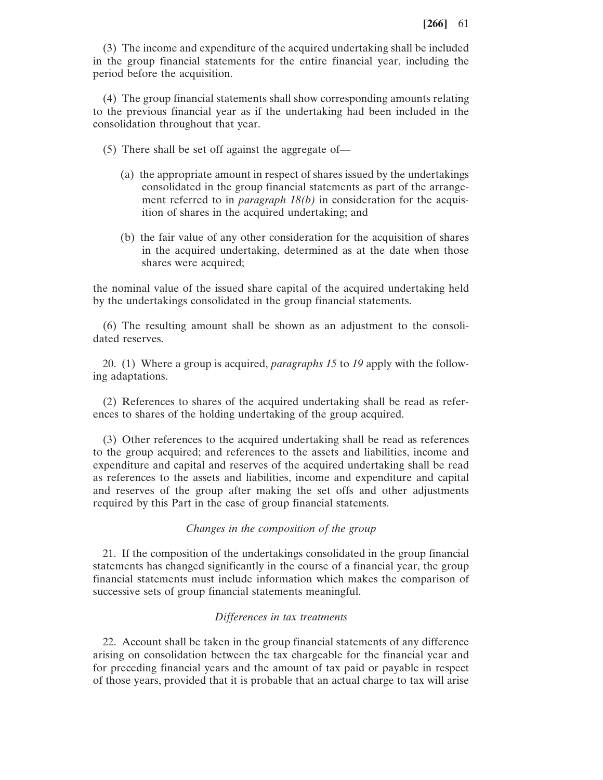(3) The income and expenditure of the acquired undertaking shall be included in the group financial statements for the entire financial year, including the period before the acquisition.

(4) The group financial statements shall show corresponding amounts relating to the previous financial year as if the undertaking had been included in the consolidation throughout that year.

(5) There shall be set off against the aggregate of—

- (a) the appropriate amount in respect of shares issued by the undertakings consolidated in the group financial statements as part of the arrangement referred to in *paragraph 18(b)* in consideration for the acquisition of shares in the acquired undertaking; and
- (b) the fair value of any other consideration for the acquisition of shares in the acquired undertaking, determined as at the date when those shares were acquired;

the nominal value of the issued share capital of the acquired undertaking held by the undertakings consolidated in the group financial statements.

(6) The resulting amount shall be shown as an adjustment to the consolidated reserves.

20. (1) Where a group is acquired, *paragraphs 15* to *19* apply with the following adaptations.

(2) References to shares of the acquired undertaking shall be read as references to shares of the holding undertaking of the group acquired.

(3) Other references to the acquired undertaking shall be read as references to the group acquired; and references to the assets and liabilities, income and expenditure and capital and reserves of the acquired undertaking shall be read as references to the assets and liabilities, income and expenditure and capital and reserves of the group after making the set offs and other adjustments required by this Part in the case of group financial statements.

#### *Changes in the composition of the group*

21. If the composition of the undertakings consolidated in the group financial statements has changed significantly in the course of a financial year, the group financial statements must include information which makes the comparison of successive sets of group financial statements meaningful.

### *Differences in tax treatments*

22. Account shall be taken in the group financial statements of any difference arising on consolidation between the tax chargeable for the financial year and for preceding financial years and the amount of tax paid or payable in respect of those years, provided that it is probable that an actual charge to tax will arise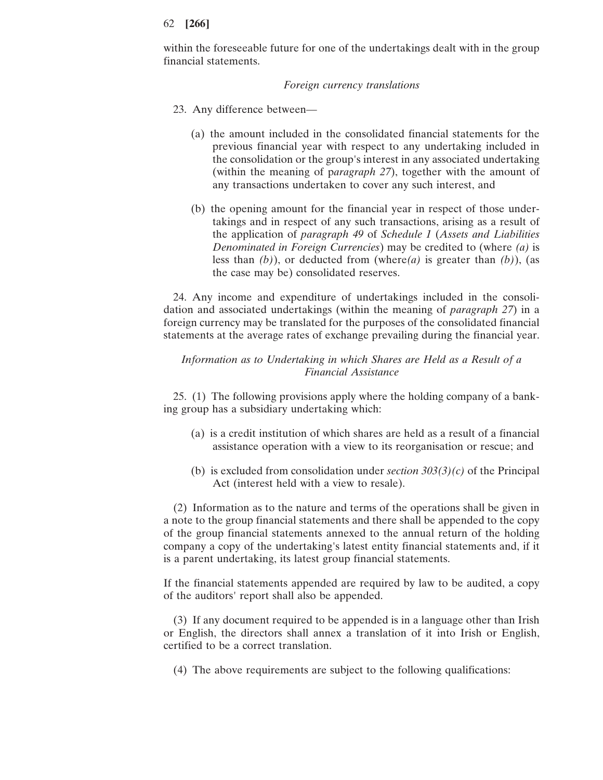within the foreseeable future for one of the undertakings dealt with in the group financial statements.

#### *Foreign currency translations*

- 23. Any difference between—
	- (a) the amount included in the consolidated financial statements for the previous financial year with respect to any undertaking included in the consolidation or the group's interest in any associated undertaking (within the meaning of p*aragraph 27*), together with the amount of any transactions undertaken to cover any such interest, and
	- (b) the opening amount for the financial year in respect of those undertakings and in respect of any such transactions, arising as a result of the application of *paragraph 49* of *Schedule 1* (*Assets and Liabilities Denominated in Foreign Currencies*) may be credited to (where *(a)* is less than *(b)*), or deducted from (where*(a)* is greater than *(b)*), (as the case may be) consolidated reserves.

24. Any income and expenditure of undertakings included in the consolidation and associated undertakings (within the meaning of *paragraph 27*) in a foreign currency may be translated for the purposes of the consolidated financial statements at the average rates of exchange prevailing during the financial year.

## *Information as to Undertaking in which Shares are Held as a Result of a Financial Assistance*

25. (1) The following provisions apply where the holding company of a banking group has a subsidiary undertaking which:

- (a) is a credit institution of which shares are held as a result of a financial assistance operation with a view to its reorganisation or rescue; and
- (b) is excluded from consolidation under *section 303(3)(c)* of the Principal Act (interest held with a view to resale).

(2) Information as to the nature and terms of the operations shall be given in a note to the group financial statements and there shall be appended to the copy of the group financial statements annexed to the annual return of the holding company a copy of the undertaking's latest entity financial statements and, if it is a parent undertaking, its latest group financial statements.

If the financial statements appended are required by law to be audited, a copy of the auditors' report shall also be appended.

(3) If any document required to be appended is in a language other than Irish or English, the directors shall annex a translation of it into Irish or English, certified to be a correct translation.

(4) The above requirements are subject to the following qualifications: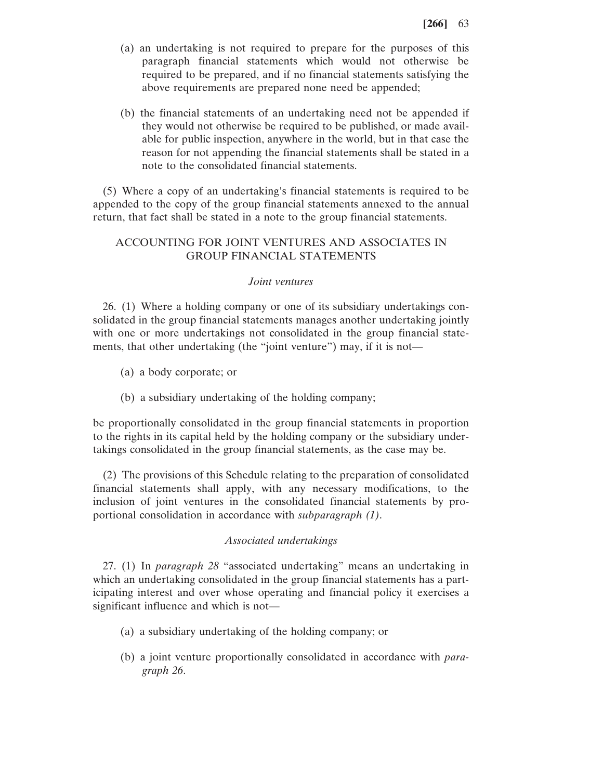- (a) an undertaking is not required to prepare for the purposes of this paragraph financial statements which would not otherwise be required to be prepared, and if no financial statements satisfying the above requirements are prepared none need be appended;
- (b) the financial statements of an undertaking need not be appended if they would not otherwise be required to be published, or made available for public inspection, anywhere in the world, but in that case the reason for not appending the financial statements shall be stated in a note to the consolidated financial statements.

(5) Where a copy of an undertaking's financial statements is required to be appended to the copy of the group financial statements annexed to the annual return, that fact shall be stated in a note to the group financial statements.

# ACCOUNTING FOR JOINT VENTURES AND ASSOCIATES IN GROUP FINANCIAL STATEMENTS

## *Joint ventures*

26. (1) Where a holding company or one of its subsidiary undertakings consolidated in the group financial statements manages another undertaking jointly with one or more undertakings not consolidated in the group financial statements, that other undertaking (the "joint venture") may, if it is not—

- (a) a body corporate; or
- (b) a subsidiary undertaking of the holding company;

be proportionally consolidated in the group financial statements in proportion to the rights in its capital held by the holding company or the subsidiary undertakings consolidated in the group financial statements, as the case may be.

(2) The provisions of this Schedule relating to the preparation of consolidated financial statements shall apply, with any necessary modifications, to the inclusion of joint ventures in the consolidated financial statements by proportional consolidation in accordance with *subparagraph (1)*.

## *Associated undertakings*

27. (1) In *paragraph 28* "associated undertaking" means an undertaking in which an undertaking consolidated in the group financial statements has a participating interest and over whose operating and financial policy it exercises a significant influence and which is not—

- (a) a subsidiary undertaking of the holding company; or
- (b) a joint venture proportionally consolidated in accordance with *paragraph 26*.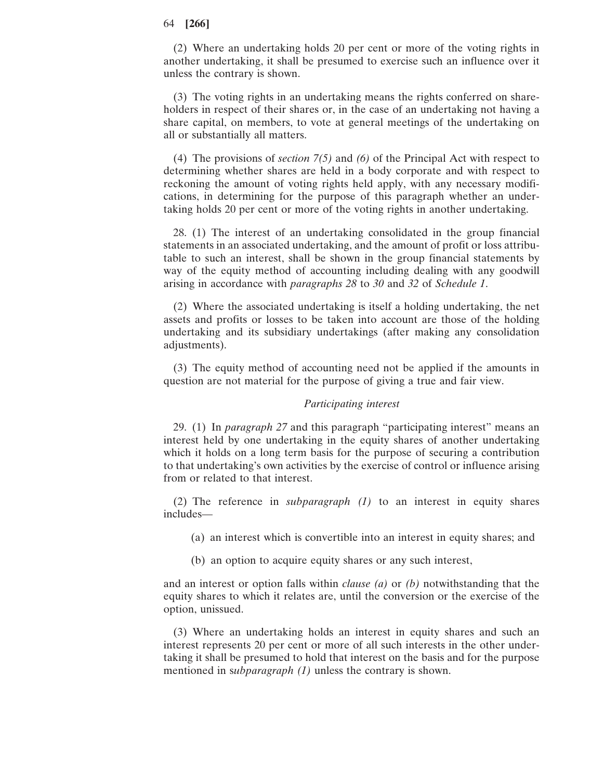(2) Where an undertaking holds 20 per cent or more of the voting rights in another undertaking, it shall be presumed to exercise such an influence over it unless the contrary is shown.

(3) The voting rights in an undertaking means the rights conferred on shareholders in respect of their shares or, in the case of an undertaking not having a share capital, on members, to vote at general meetings of the undertaking on all or substantially all matters.

(4) The provisions of *section 7(5)* and *(6)* of the Principal Act with respect to determining whether shares are held in a body corporate and with respect to reckoning the amount of voting rights held apply, with any necessary modifications, in determining for the purpose of this paragraph whether an undertaking holds 20 per cent or more of the voting rights in another undertaking.

28. (1) The interest of an undertaking consolidated in the group financial statements in an associated undertaking, and the amount of profit or loss attributable to such an interest, shall be shown in the group financial statements by way of the equity method of accounting including dealing with any goodwill arising in accordance with *paragraphs 28* to *30* and *32* of *Schedule 1*.

(2) Where the associated undertaking is itself a holding undertaking, the net assets and profits or losses to be taken into account are those of the holding undertaking and its subsidiary undertakings (after making any consolidation adjustments).

(3) The equity method of accounting need not be applied if the amounts in question are not material for the purpose of giving a true and fair view.

#### *Participating interest*

29. (1) In *paragraph 27* and this paragraph "participating interest" means an interest held by one undertaking in the equity shares of another undertaking which it holds on a long term basis for the purpose of securing a contribution to that undertaking's own activities by the exercise of control or influence arising from or related to that interest.

(2) The reference in *subparagraph (1)* to an interest in equity shares includes—

(a) an interest which is convertible into an interest in equity shares; and

(b) an option to acquire equity shares or any such interest,

and an interest or option falls within *clause (a)* or *(b)* notwithstanding that the equity shares to which it relates are, until the conversion or the exercise of the option, unissued.

(3) Where an undertaking holds an interest in equity shares and such an interest represents 20 per cent or more of all such interests in the other undertaking it shall be presumed to hold that interest on the basis and for the purpose mentioned in s*ubparagraph (1)* unless the contrary is shown.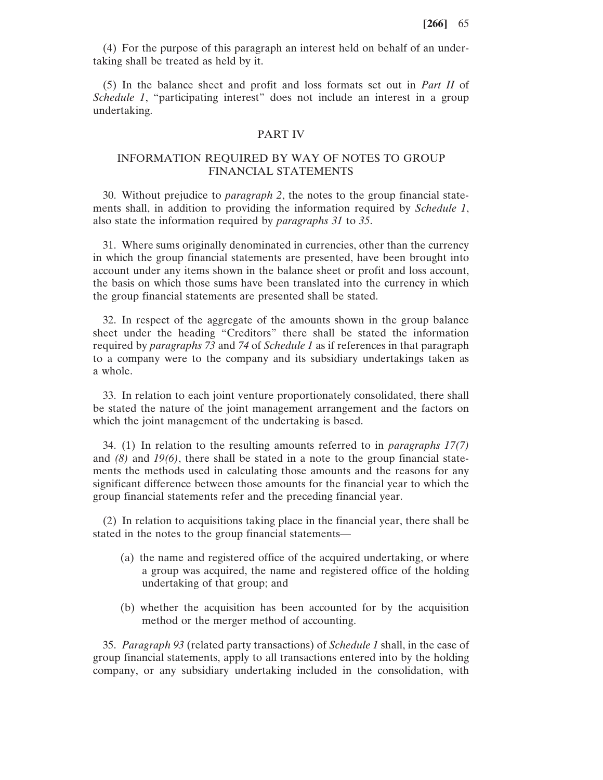(4) For the purpose of this paragraph an interest held on behalf of an undertaking shall be treated as held by it.

(5) In the balance sheet and profit and loss formats set out in *Part II* of *Schedule 1*, "participating interest" does not include an interest in a group undertaking.

### PART IV

## INFORMATION REQUIRED BY WAY OF NOTES TO GROUP FINANCIAL STATEMENTS

30. Without prejudice to *paragraph 2*, the notes to the group financial statements shall, in addition to providing the information required by *Schedule 1*, also state the information required by *paragraphs 31* to *35*.

31. Where sums originally denominated in currencies, other than the currency in which the group financial statements are presented, have been brought into account under any items shown in the balance sheet or profit and loss account, the basis on which those sums have been translated into the currency in which the group financial statements are presented shall be stated.

32. In respect of the aggregate of the amounts shown in the group balance sheet under the heading "Creditors" there shall be stated the information required by *paragraphs 73* and *74* of *Schedule 1* as if references in that paragraph to a company were to the company and its subsidiary undertakings taken as a whole.

33. In relation to each joint venture proportionately consolidated, there shall be stated the nature of the joint management arrangement and the factors on which the joint management of the undertaking is based.

34. (1) In relation to the resulting amounts referred to in *paragraphs 17(7)* and *(8)* and *19(6)*, there shall be stated in a note to the group financial statements the methods used in calculating those amounts and the reasons for any significant difference between those amounts for the financial year to which the group financial statements refer and the preceding financial year.

(2) In relation to acquisitions taking place in the financial year, there shall be stated in the notes to the group financial statements—

- (a) the name and registered office of the acquired undertaking, or where a group was acquired, the name and registered office of the holding undertaking of that group; and
- (b) whether the acquisition has been accounted for by the acquisition method or the merger method of accounting.

35. *Paragraph 93* (related party transactions) of *Schedule 1* shall, in the case of group financial statements, apply to all transactions entered into by the holding company, or any subsidiary undertaking included in the consolidation, with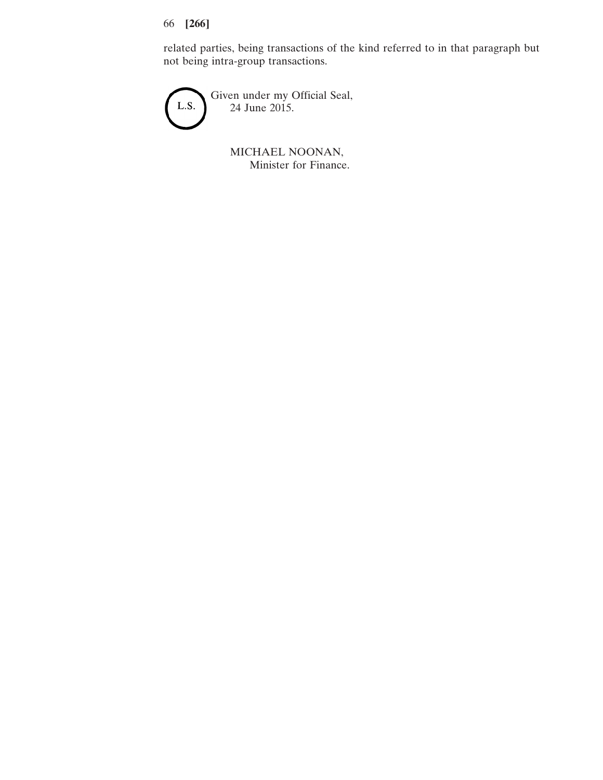related parties, being transactions of the kind referred to in that paragraph but not being intra-group transactions.



MICHAEL NOONAN, Minister for Finance.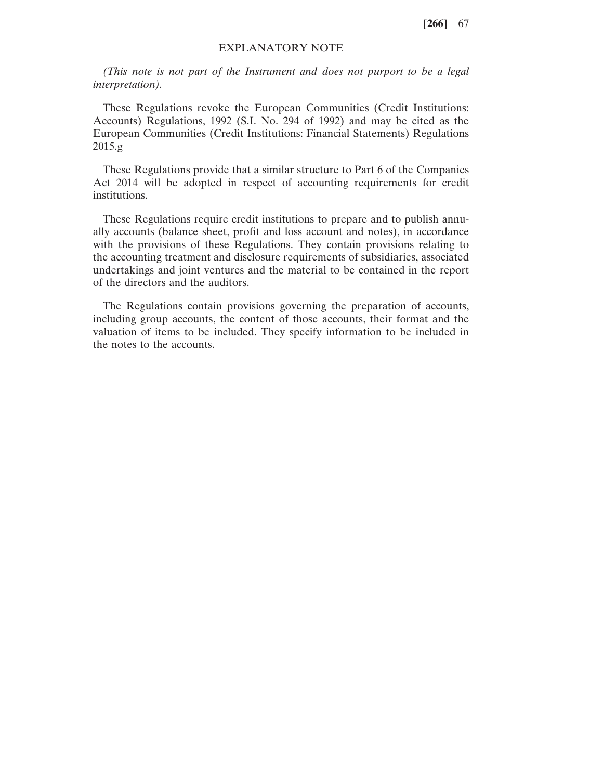## EXPLANATORY NOTE

*(This note is not part of the Instrument and does not purport to be a legal interpretation).*

These Regulations revoke the European Communities (Credit Institutions: Accounts) Regulations, 1992 (S.I. No. 294 of 1992) and may be cited as the European Communities (Credit Institutions: Financial Statements) Regulations 2015.g

These Regulations provide that a similar structure to Part 6 of the Companies Act 2014 will be adopted in respect of accounting requirements for credit institutions.

These Regulations require credit institutions to prepare and to publish annually accounts (balance sheet, profit and loss account and notes), in accordance with the provisions of these Regulations. They contain provisions relating to the accounting treatment and disclosure requirements of subsidiaries, associated undertakings and joint ventures and the material to be contained in the report of the directors and the auditors.

The Regulations contain provisions governing the preparation of accounts, including group accounts, the content of those accounts, their format and the valuation of items to be included. They specify information to be included in the notes to the accounts.